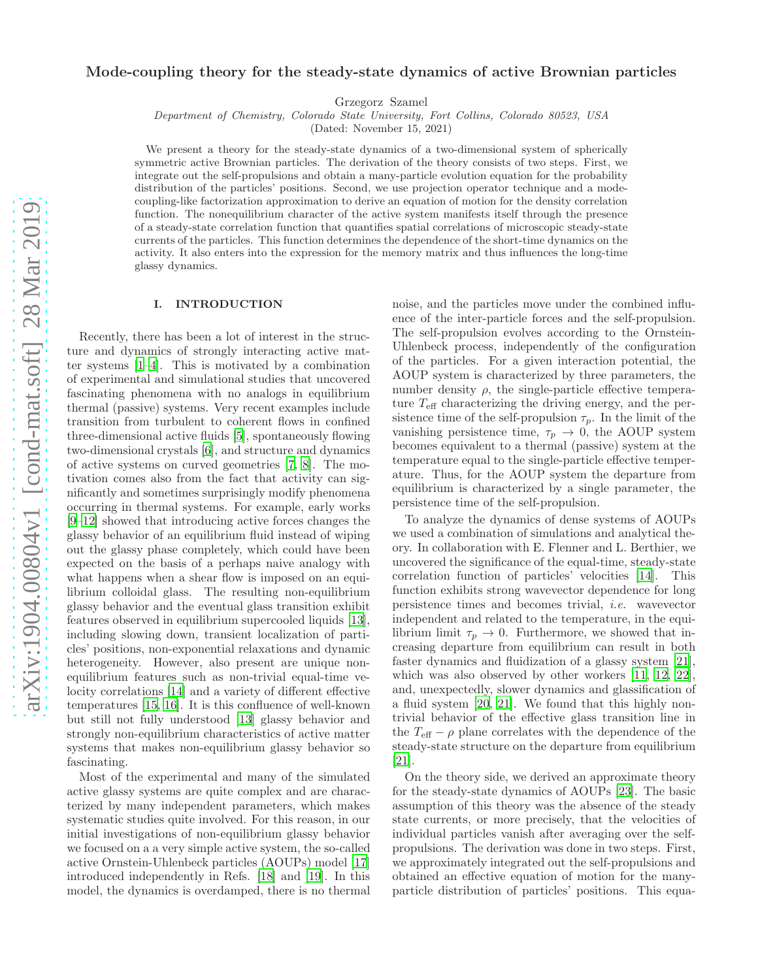# Mode-coupling theory for the steady-state dynamics of active Brownian particles

Grzegorz Szamel

*Department of Chemistry, Colorado State University, Fort Collins, Colorado 80523, USA*

(Dated: November 15, 2021)

We present a theory for the steady-state dynamics of a two-dimensional system of spherically symmetric active Brownian particles. The derivation of the theory consists of two steps. First, we integrate out the self-propulsions and obtain a many-particle evolution equation for the probability distribution of the particles' positions. Second, we use projection operator technique and a modecoupling-like factorization approximation to derive an equation of motion for the density correlation function. The nonequilibrium character of the active system manifests itself through the presence of a steady-state correlation function that quantifies spatial correlations of microscopic steady-state currents of the particles. This function determines the dependence of the short-time dynamics on the activity. It also enters into the expression for the memory matrix and thus influences the long-time glassy dynamics.

#### I. INTRODUCTION

Recently, there has been a lot of interest in the structure and dynamics of strongly interacting active matter systems [\[1](#page-12-0)[–4](#page-12-1)]. This is motivated by a combination of experimental and simulational studies that uncovered fascinating phenomena with no analogs in equilibrium thermal (passive) systems. Very recent examples include transition from turbulent to coherent flows in confined three-dimensional active fluids [\[5\]](#page-12-2), spontaneously flowing two-dimensional crystals [\[6\]](#page-12-3), and structure and dynamics of active systems on curved geometries [\[7,](#page-12-4) [8\]](#page-12-5). The motivation comes also from the fact that activity can significantly and sometimes surprisingly modify phenomena occurring in thermal systems. For example, early works [\[9](#page-12-6)[–12\]](#page-12-7) showed that introducing active forces changes the glassy behavior of an equilibrium fluid instead of wiping out the glassy phase completely, which could have been expected on the basis of a perhaps naive analogy with what happens when a shear flow is imposed on an equilibrium colloidal glass. The resulting non-equilibrium glassy behavior and the eventual glass transition exhibit features observed in equilibrium supercooled liquids [\[13\]](#page-12-8), including slowing down, transient localization of particles' positions, non-exponential relaxations and dynamic heterogeneity. However, also present are unique nonequilibrium features such as non-trivial equal-time velocity correlations [\[14\]](#page-12-9) and a variety of different effective temperatures [\[15](#page-12-10), [16\]](#page-12-11). It is this confluence of well-known but still not fully understood [\[13](#page-12-8)] glassy behavior and strongly non-equilibrium characteristics of active matter systems that makes non-equilibrium glassy behavior so fascinating.

Most of the experimental and many of the simulated active glassy systems are quite complex and are characterized by many independent parameters, which makes systematic studies quite involved. For this reason, in our initial investigations of non-equilibrium glassy behavior we focused on a a very simple active system, the so-called active Ornstein-Uhlenbeck particles (AOUPs) model [\[17](#page-12-12)] introduced independently in Refs. [\[18\]](#page-12-13) and [\[19](#page-12-14)]. In this model, the dynamics is overdamped, there is no thermal

noise, and the particles move under the combined influence of the inter-particle forces and the self-propulsion. The self-propulsion evolves according to the Ornstein-Uhlenbeck process, independently of the configuration of the particles. For a given interaction potential, the AOUP system is characterized by three parameters, the number density  $\rho$ , the single-particle effective temperature  $T_{\text{eff}}$  characterizing the driving energy, and the persistence time of the self-propulsion  $\tau_p$ . In the limit of the vanishing persistence time,  $\tau_p \rightarrow 0$ , the AOUP system becomes equivalent to a thermal (passive) system at the temperature equal to the single-particle effective temperature. Thus, for the AOUP system the departure from equilibrium is characterized by a single parameter, the persistence time of the self-propulsion.

To analyze the dynamics of dense systems of AOUPs we used a combination of simulations and analytical theory. In collaboration with E. Flenner and L. Berthier, we uncovered the significance of the equal-time, steady-state correlation function of particles' velocities [\[14](#page-12-9)]. This function exhibits strong wavevector dependence for long persistence times and becomes trivial, i.e. wavevector independent and related to the temperature, in the equilibrium limit  $\tau_p \to 0$ . Furthermore, we showed that increasing departure from equilibrium can result in both faster dynamics and fluidization of a glassy system [\[21\]](#page-12-15), which was also observed by other workers [\[11](#page-12-16), [12,](#page-12-7) [22\]](#page-12-17), and, unexpectedly, slower dynamics and glassification of a fluid system [\[20,](#page-12-18) [21](#page-12-15)]. We found that this highly nontrivial behavior of the effective glass transition line in the  $T_{\text{eff}} - \rho$  plane correlates with the dependence of the steady-state structure on the departure from equilibrium [\[21\]](#page-12-15).

On the theory side, we derived an approximate theory for the steady-state dynamics of AOUPs [\[23\]](#page-12-19). The basic assumption of this theory was the absence of the steady state currents, or more precisely, that the velocities of individual particles vanish after averaging over the selfpropulsions. The derivation was done in two steps. First, we approximately integrated out the self-propulsions and obtained an effective equation of motion for the manyparticle distribution of particles' positions. This equa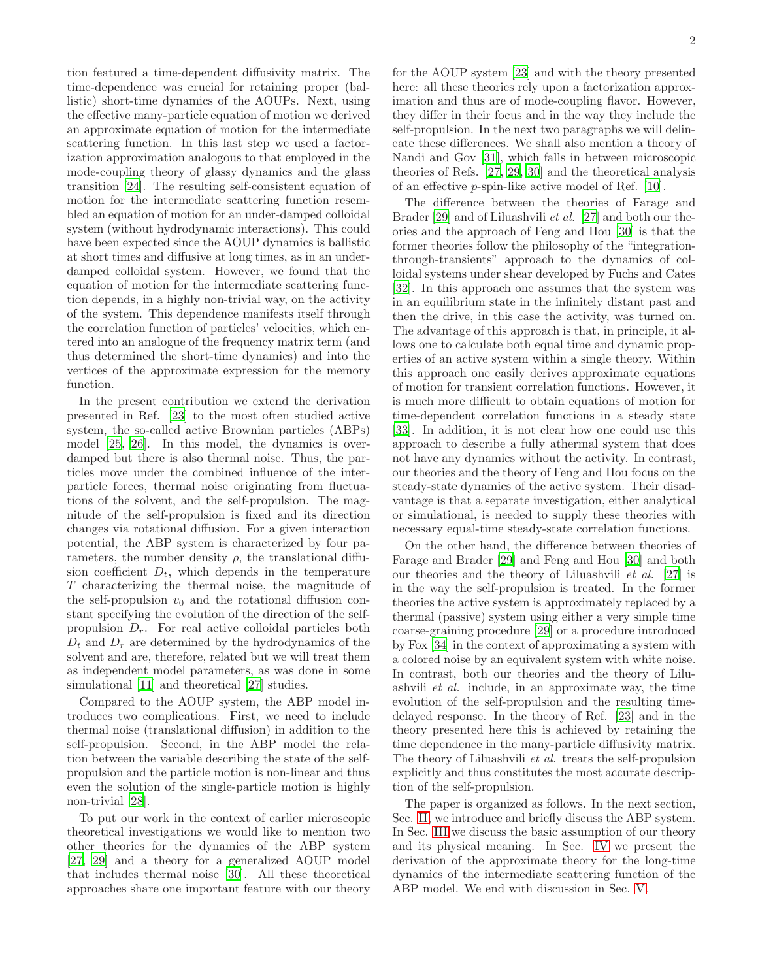tion featured a time-dependent diffusivity matrix. The time-dependence was crucial for retaining proper (ballistic) short-time dynamics of the AOUPs. Next, using the effective many-particle equation of motion we derived an approximate equation of motion for the intermediate scattering function. In this last step we used a factorization approximation analogous to that employed in the mode-coupling theory of glassy dynamics and the glass transition [\[24\]](#page-12-20). The resulting self-consistent equation of motion for the intermediate scattering function resembled an equation of motion for an under-damped colloidal system (without hydrodynamic interactions). This could have been expected since the AOUP dynamics is ballistic at short times and diffusive at long times, as in an underdamped colloidal system. However, we found that the equation of motion for the intermediate scattering function depends, in a highly non-trivial way, on the activity of the system. This dependence manifests itself through the correlation function of particles' velocities, which entered into an analogue of the frequency matrix term (and thus determined the short-time dynamics) and into the vertices of the approximate expression for the memory function.

In the present contribution we extend the derivation presented in Ref. [\[23\]](#page-12-19) to the most often studied active system, the so-called active Brownian particles (ABPs) model [\[25](#page-12-21), [26\]](#page-12-22). In this model, the dynamics is overdamped but there is also thermal noise. Thus, the particles move under the combined influence of the interparticle forces, thermal noise originating from fluctuations of the solvent, and the self-propulsion. The magnitude of the self-propulsion is fixed and its direction changes via rotational diffusion. For a given interaction potential, the ABP system is characterized by four parameters, the number density  $\rho$ , the translational diffusion coefficient  $D_t$ , which depends in the temperature T characterizing the thermal noise, the magnitude of the self-propulsion  $v_0$  and the rotational diffusion constant specifying the evolution of the direction of the selfpropulsion  $D_r$ . For real active colloidal particles both  $D_t$  and  $D_r$  are determined by the hydrodynamics of the solvent and are, therefore, related but we will treat them as independent model parameters, as was done in some simulational [\[11\]](#page-12-16) and theoretical [\[27\]](#page-12-23) studies.

Compared to the AOUP system, the ABP model introduces two complications. First, we need to include thermal noise (translational diffusion) in addition to the self-propulsion. Second, in the ABP model the relation between the variable describing the state of the selfpropulsion and the particle motion is non-linear and thus even the solution of the single-particle motion is highly non-trivial [\[28\]](#page-12-24).

To put our work in the context of earlier microscopic theoretical investigations we would like to mention two other theories for the dynamics of the ABP system [\[27,](#page-12-23) [29\]](#page-12-25) and a theory for a generalized AOUP model that includes thermal noise [\[30](#page-12-26)]. All these theoretical approaches share one important feature with our theory

for the AOUP system [\[23](#page-12-19)] and with the theory presented here: all these theories rely upon a factorization approximation and thus are of mode-coupling flavor. However, they differ in their focus and in the way they include the self-propulsion. In the next two paragraphs we will delineate these differences. We shall also mention a theory of Nandi and Gov [\[31](#page-12-27)], which falls in between microscopic theories of Refs. [\[27](#page-12-23), [29](#page-12-25), [30](#page-12-26)] and the theoretical analysis of an effective p-spin-like active model of Ref. [\[10\]](#page-12-28).

The difference between the theories of Farage and Brader [\[29](#page-12-25)] and of Liluashvili et al. [\[27\]](#page-12-23) and both our theories and the approach of Feng and Hou [\[30](#page-12-26)] is that the former theories follow the philosophy of the "integrationthrough-transients" approach to the dynamics of colloidal systems under shear developed by Fuchs and Cates [\[32\]](#page-12-29). In this approach one assumes that the system was in an equilibrium state in the infinitely distant past and then the drive, in this case the activity, was turned on. The advantage of this approach is that, in principle, it allows one to calculate both equal time and dynamic properties of an active system within a single theory. Within this approach one easily derives approximate equations of motion for transient correlation functions. However, it is much more difficult to obtain equations of motion for time-dependent correlation functions in a steady state [\[33\]](#page-13-0). In addition, it is not clear how one could use this approach to describe a fully athermal system that does not have any dynamics without the activity. In contrast, our theories and the theory of Feng and Hou focus on the steady-state dynamics of the active system. Their disadvantage is that a separate investigation, either analytical or simulational, is needed to supply these theories with necessary equal-time steady-state correlation functions.

On the other hand, the difference between theories of Farage and Brader [\[29](#page-12-25)] and Feng and Hou [\[30\]](#page-12-26) and both our theories and the theory of Liluashvili et al. [\[27\]](#page-12-23) is in the way the self-propulsion is treated. In the former theories the active system is approximately replaced by a thermal (passive) system using either a very simple time coarse-graining procedure [\[29](#page-12-25)] or a procedure introduced by Fox [\[34\]](#page-13-1) in the context of approximating a system with a colored noise by an equivalent system with white noise. In contrast, both our theories and the theory of Liluashvili et al. include, in an approximate way, the time evolution of the self-propulsion and the resulting timedelayed response. In the theory of Ref. [\[23\]](#page-12-19) and in the theory presented here this is achieved by retaining the time dependence in the many-particle diffusivity matrix. The theory of Liluashvili et al. treats the self-propulsion explicitly and thus constitutes the most accurate description of the self-propulsion.

The paper is organized as follows. In the next section, Sec. [II,](#page-2-0) we introduce and briefly discuss the ABP system. In Sec. [III](#page-3-0) we discuss the basic assumption of our theory and its physical meaning. In Sec. [IV](#page-3-1) we present the derivation of the approximate theory for the long-time dynamics of the intermediate scattering function of the ABP model. We end with discussion in Sec. [V.](#page-11-0)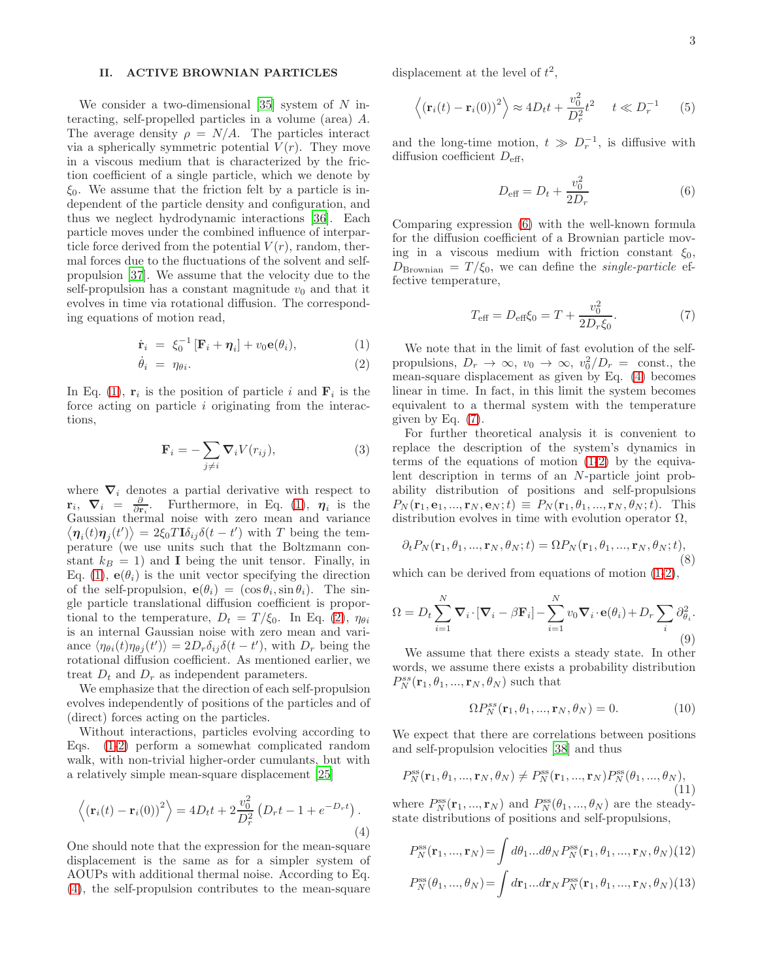## <span id="page-2-0"></span>II. ACTIVE BROWNIAN PARTICLES

We consider a two-dimensional  $[35]$  system of N interacting, self-propelled particles in a volume (area) A. The average density  $\rho = N/A$ . The particles interact via a spherically symmetric potential  $V(r)$ . They move in a viscous medium that is characterized by the friction coefficient of a single particle, which we denote by  $\xi_0$ . We assume that the friction felt by a particle is independent of the particle density and configuration, and thus we neglect hydrodynamic interactions [\[36\]](#page-13-3). Each particle moves under the combined influence of interparticle force derived from the potential  $V(r)$ , random, thermal forces due to the fluctuations of the solvent and selfpropulsion [\[37\]](#page-13-4). We assume that the velocity due to the self-propulsion has a constant magnitude  $v_0$  and that it evolves in time via rotational diffusion. The corresponding equations of motion read,

<span id="page-2-1"></span>
$$
\dot{\mathbf{r}}_i = \xi_0^{-1} [\mathbf{F}_i + \boldsymbol{\eta}_i] + v_0 \mathbf{e}(\theta_i), \tag{1}
$$

$$
\dot{\theta}_i = \eta_{\theta i}.\tag{2}
$$

In Eq. [\(1\)](#page-2-1),  $\mathbf{r}_i$  is the position of particle i and  $\mathbf{F}_i$  is the force acting on particle  $i$  originating from the interactions,

$$
\mathbf{F}_i = -\sum_{j \neq i} \nabla_i V(r_{ij}),\tag{3}
$$

where  $\nabla_i$  denotes a partial derivative with respect to  $\mathbf{r}_i$ ,  $\nabla_i = \frac{\partial}{\partial \mathbf{r}_i}$ . Furthermore, in Eq. [\(1\)](#page-2-1),  $\eta_i$  is the Gaussian thermal noise with zero mean and variance  $\langle \eta_i(t)\eta_j(t')\rangle = 2\xi_0 T \mathbf{I} \delta_{ij} \delta(t-t')$  with T being the temperature (we use units such that the Boltzmann constant  $k_B = 1$ ) and **I** being the unit tensor. Finally, in Eq. [\(1\)](#page-2-1),  $e(\theta_i)$  is the unit vector specifying the direction of the self-propulsion,  $\mathbf{e}(\theta_i) = (\cos \theta_i, \sin \theta_i)$ . The single particle translational diffusion coefficient is proportional to the temperature,  $D_t = T/\xi_0$ . In Eq. [\(2\)](#page-2-1),  $\eta_{\theta i}$ is an internal Gaussian noise with zero mean and variance  $\langle \eta_{\theta i}(t) \eta_{\theta j}(t') \rangle = 2D_r \delta_{ij} \delta(t-t')$ , with  $D_r$  being the rotational diffusion coefficient. As mentioned earlier, we treat  $D_t$  and  $D_r$  as independent parameters.

We emphasize that the direction of each self-propulsion evolves independently of positions of the particles and of (direct) forces acting on the particles.

Without interactions, particles evolving according to Eqs. [\(1-2\)](#page-2-1) perform a somewhat complicated random walk, with non-trivial higher-order cumulants, but with a relatively simple mean-square displacement [\[25\]](#page-12-21)

<span id="page-2-2"></span>
$$
\langle (\mathbf{r}_i(t) - \mathbf{r}_i(0))^2 \rangle = 4Dt_t + 2\frac{v_0^2}{D_r^2} (D_r t - 1 + e^{-D_r t}).
$$
\n(4)

One should note that the expression for the mean-square displacement is the same as for a simpler system of AOUPs with additional thermal noise. According to Eq. [\(4\)](#page-2-2), the self-propulsion contributes to the mean-square displacement at the level of  $t^2$ ,

$$
\left\langle \left(\mathbf{r}_i(t) - \mathbf{r}_i(0)\right)^2 \right\rangle \approx 4D_t t + \frac{v_0^2}{D_r^2} t^2 \quad t \ll D_r^{-1} \quad (5)
$$

and the long-time motion,  $t \gg D_r^{-1}$ , is diffusive with diffusion coefficient  $D_{\text{eff}}$ ,

<span id="page-2-3"></span>
$$
D_{\text{eff}} = D_t + \frac{v_0^2}{2D_r}
$$
 (6)

Comparing expression [\(6\)](#page-2-3) with the well-known formula for the diffusion coefficient of a Brownian particle moving in a viscous medium with friction constant  $\xi_0$ ,  $D_{\rm Brownian} = T/\xi_0$ , we can define the *single-particle* effective temperature,

<span id="page-2-4"></span>
$$
T_{\text{eff}} = D_{\text{eff}} \xi_0 = T + \frac{v_0^2}{2D_r \xi_0}.
$$
 (7)

We note that in the limit of fast evolution of the selfpropulsions,  $D_r \to \infty$ ,  $v_0 \to \infty$ ,  $v_0^2/D_r = \text{const.}$ , the mean-square displacement as given by Eq. [\(4\)](#page-2-2) becomes linear in time. In fact, in this limit the system becomes equivalent to a thermal system with the temperature given by Eq. [\(7\)](#page-2-4).

For further theoretical analysis it is convenient to replace the description of the system's dynamics in terms of the equations of motion [\(1-2\)](#page-2-1) by the equivalent description in terms of an N-particle joint probability distribution of positions and self-propulsions  $P_N(\mathbf{r}_1, \mathbf{e}_1, ..., \mathbf{r}_N, \mathbf{e}_N; t) \equiv P_N(\mathbf{r}_1, \theta_1, ..., \mathbf{r}_N, \theta_N; t)$ . This distribution evolves in time with evolution operator  $\Omega$ ,

<span id="page-2-6"></span>
$$
\partial_t P_N(\mathbf{r}_1, \theta_1, \dots, \mathbf{r}_N, \theta_N; t) = \Omega P_N(\mathbf{r}_1, \theta_1, \dots, \mathbf{r}_N, \theta_N; t),
$$
\n(8)

which can be derived from equations of motion [\(1-2\)](#page-2-1),

<span id="page-2-5"></span>
$$
\Omega = D_t \sum_{i=1}^{N} \nabla_i \cdot [\nabla_i - \beta \mathbf{F}_i] - \sum_{i=1}^{N} v_0 \nabla_i \cdot \mathbf{e}(\theta_i) + D_r \sum_i \partial_{\theta_i}^2.
$$
\n(9)

We assume that there exists a steady state. In other words, we assume there exists a probability distribution  $P_N^{ss}(\mathbf{r}_1, \theta_1, ..., \mathbf{r}_N, \theta_N)$  such that

$$
\Omega P_N^{ss}(\mathbf{r}_1, \theta_1, ..., \mathbf{r}_N, \theta_N) = 0.
$$
 (10)

We expect that there are correlations between positions and self-propulsion velocities [\[38](#page-13-5)] and thus

$$
P_N^{\rm ss}(\mathbf{r}_1, \theta_1, ..., \mathbf{r}_N, \theta_N) \neq P_N^{\rm ss}(\mathbf{r}_1, ..., \mathbf{r}_N) P_N^{\rm ss}(\theta_1, ..., \theta_N),
$$
\n(11)

where  $P_N^{\text{ss}}(\mathbf{r}_1, ..., \mathbf{r}_N)$  and  $P_N^{\text{ss}}(\theta_1, ..., \theta_N)$  are the steadystate distributions of positions and self-propulsions,

$$
P_N^{\text{ss}}(\mathbf{r}_1, ..., \mathbf{r}_N) = \int d\theta_1 ... d\theta_N P_N^{\text{ss}}(\mathbf{r}_1, \theta_1, ..., \mathbf{r}_N, \theta_N)
$$
(12)  

$$
P_N^{\text{ss}}(\theta_1, ..., \theta_N) = \int d\mathbf{r}_1 ... d\mathbf{r}_N P_N^{\text{ss}}(\mathbf{r}_1, \theta_1, ..., \mathbf{r}_N, \theta_N)
$$
(13)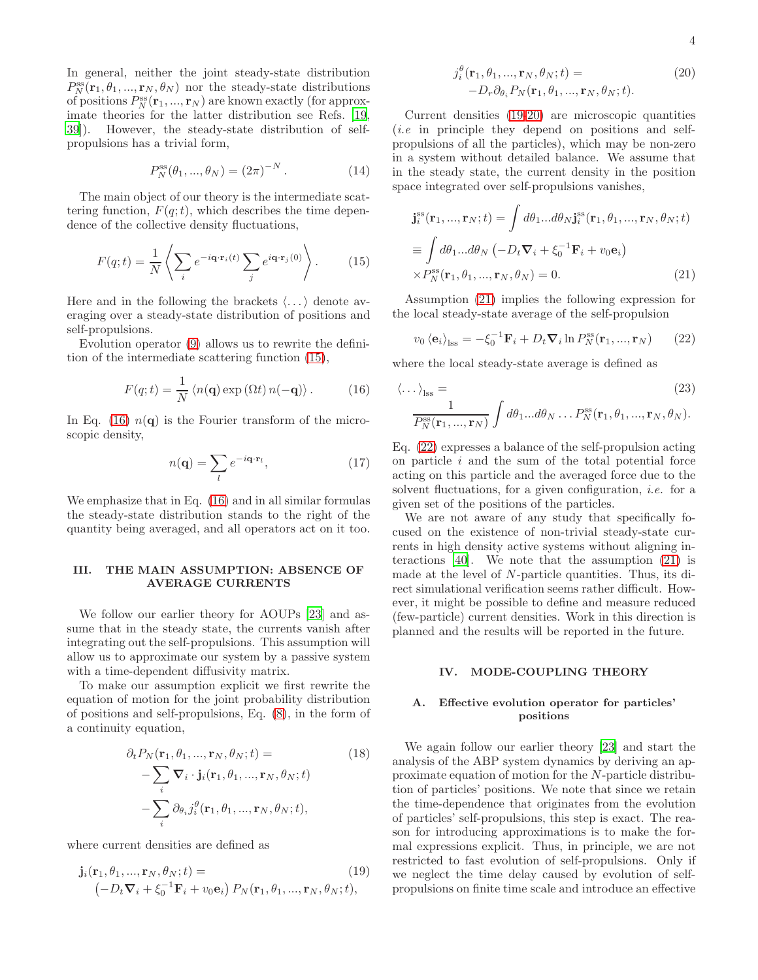In general, neither the joint steady-state distribution  $P_N^{\text{ss}}(\mathbf{r}_1, \theta_1, ..., \mathbf{r}_N, \theta_N)$  nor the steady-state distributions of positions  $P_N^{\text{ss}}(\mathbf{r}_1, ..., \mathbf{r}_N)$  are known exactly (for approximate theories for the latter distribution see Refs. [\[19](#page-12-14), [39\]](#page-13-6)). However, the steady-state distribution of selfpropulsions has a trivial form,

$$
P_N^{\rm ss}(\theta_1, ..., \theta_N) = (2\pi)^{-N}.
$$
 (14)

The main object of our theory is the intermediate scattering function,  $F(q; t)$ , which describes the time dependence of the collective density fluctuations,

<span id="page-3-2"></span>
$$
F(q;t) = \frac{1}{N} \left\langle \sum_{i} e^{-i\mathbf{q} \cdot \mathbf{r}_i(t)} \sum_{j} e^{i\mathbf{q} \cdot \mathbf{r}_j(0)} \right\rangle.
$$
 (15)

Here and in the following the brackets  $\langle \ldots \rangle$  denote averaging over a steady-state distribution of positions and self-propulsions.

Evolution operator [\(9\)](#page-2-5) allows us to rewrite the definition of the intermediate scattering function [\(15\)](#page-3-2),

<span id="page-3-3"></span>
$$
F(q;t) = \frac{1}{N} \left\langle n(\mathbf{q}) \exp\left(\Omega t\right) n(-\mathbf{q}) \right\rangle. \tag{16}
$$

In Eq. [\(16\)](#page-3-3)  $n(q)$  is the Fourier transform of the microscopic density,

$$
n(\mathbf{q}) = \sum_{l} e^{-i\mathbf{q} \cdot \mathbf{r}_l},\tag{17}
$$

We emphasize that in Eq. [\(16\)](#page-3-3) and in all similar formulas the steady-state distribution stands to the right of the quantity being averaged, and all operators act on it too.

# <span id="page-3-0"></span>III. THE MAIN ASSUMPTION: ABSENCE OF AVERAGE CURRENTS

We follow our earlier theory for AOUPs [\[23\]](#page-12-19) and assume that in the steady state, the currents vanish after integrating out the self-propulsions. This assumption will allow us to approximate our system by a passive system with a time-dependent diffusivity matrix.

To make our assumption explicit we first rewrite the equation of motion for the joint probability distribution of positions and self-propulsions, Eq. [\(8\)](#page-2-6), in the form of a continuity equation,

$$
\partial_t P_N(\mathbf{r}_1, \theta_1, ..., \mathbf{r}_N, \theta_N; t) =
$$
\n
$$
- \sum_i \nabla_i \cdot \mathbf{j}_i(\mathbf{r}_1, \theta_1, ..., \mathbf{r}_N, \theta_N; t)
$$
\n
$$
- \sum_i \partial_{\theta_i} j_i^{\theta}(\mathbf{r}_1, \theta_1, ..., \mathbf{r}_N, \theta_N; t),
$$
\n(18)

where current densities are defined as

<span id="page-3-4"></span>
$$
\mathbf{j}_i(\mathbf{r}_1, \theta_1, \dots, \mathbf{r}_N, \theta_N; t) =
$$
\n
$$
(-D_t \nabla_i + \xi_0^{-1} \mathbf{F}_i + v_0 \mathbf{e}_i) P_N(\mathbf{r}_1, \theta_1, \dots, \mathbf{r}_N, \theta_N; t),
$$
\n(19)

<span id="page-3-5"></span>
$$
j_i^{\theta}(\mathbf{r}_1, \theta_1, ..., \mathbf{r}_N, \theta_N; t) = -D_r \partial_{\theta_i} P_N(\mathbf{r}_1, \theta_1, ..., \mathbf{r}_N, \theta_N; t).
$$
 (20)

Current densities [\(19-](#page-3-4)[20\)](#page-3-5) are microscopic quantities (i.e in principle they depend on positions and selfpropulsions of all the particles), which may be non-zero in a system without detailed balance. We assume that in the steady state, the current density in the position space integrated over self-propulsions vanishes,

<span id="page-3-6"></span>
$$
\mathbf{j}_{i}^{\text{ss}}(\mathbf{r}_{1},...,\mathbf{r}_{N};t) = \int d\theta_{1}...d\theta_{N}\mathbf{j}_{i}^{\text{ss}}(\mathbf{r}_{1},\theta_{1},...,\mathbf{r}_{N},\theta_{N};t)
$$

$$
\equiv \int d\theta_{1}...d\theta_{N}(-D_{t}\nabla_{i}+\xi_{0}^{-1}\mathbf{F}_{i}+v_{0}\mathbf{e}_{i})
$$

$$
\times P_{N}^{\text{ss}}(\mathbf{r}_{1},\theta_{1},...,\mathbf{r}_{N},\theta_{N}) = 0.
$$
 (21)

Assumption [\(21\)](#page-3-6) implies the following expression for the local steady-state average of the self-propulsion

<span id="page-3-7"></span>
$$
v_0 \left\langle \mathbf{e}_i \right\rangle_{\text{lss}} = -\xi_0^{-1} \mathbf{F}_i + D_t \nabla_i \ln P_N^{\text{ss}}(\mathbf{r}_1, ..., \mathbf{r}_N) \qquad (22)
$$

where the local steady-state average is defined as

$$
\langle \dots \rangle_{\text{lss}} = (23)
$$
  

$$
\frac{1}{P_N^{\text{ss}}(\mathbf{r}_1, ..., \mathbf{r}_N)} \int d\theta_1 ... d\theta_N ... P_N^{\text{ss}}(\mathbf{r}_1, \theta_1, ..., \mathbf{r}_N, \theta_N).
$$

Eq. [\(22\)](#page-3-7) expresses a balance of the self-propulsion acting on particle  $i$  and the sum of the total potential force acting on this particle and the averaged force due to the solvent fluctuations, for a given configuration, *i.e.* for a given set of the positions of the particles.

We are not aware of any study that specifically focused on the existence of non-trivial steady-state currents in high density active systems without aligning interactions [\[40\]](#page-13-7). We note that the assumption [\(21\)](#page-3-6) is made at the level of N-particle quantities. Thus, its direct simulational verification seems rather difficult. However, it might be possible to define and measure reduced (few-particle) current densities. Work in this direction is planned and the results will be reported in the future.

## <span id="page-3-1"></span>IV. MODE-COUPLING THEORY

### A. Effective evolution operator for particles' positions

We again follow our earlier theory [\[23\]](#page-12-19) and start the analysis of the ABP system dynamics by deriving an approximate equation of motion for the N-particle distribution of particles' positions. We note that since we retain the time-dependence that originates from the evolution of particles' self-propulsions, this step is exact. The reason for introducing approximations is to make the formal expressions explicit. Thus, in principle, we are not restricted to fast evolution of self-propulsions. Only if we neglect the time delay caused by evolution of selfpropulsions on finite time scale and introduce an effective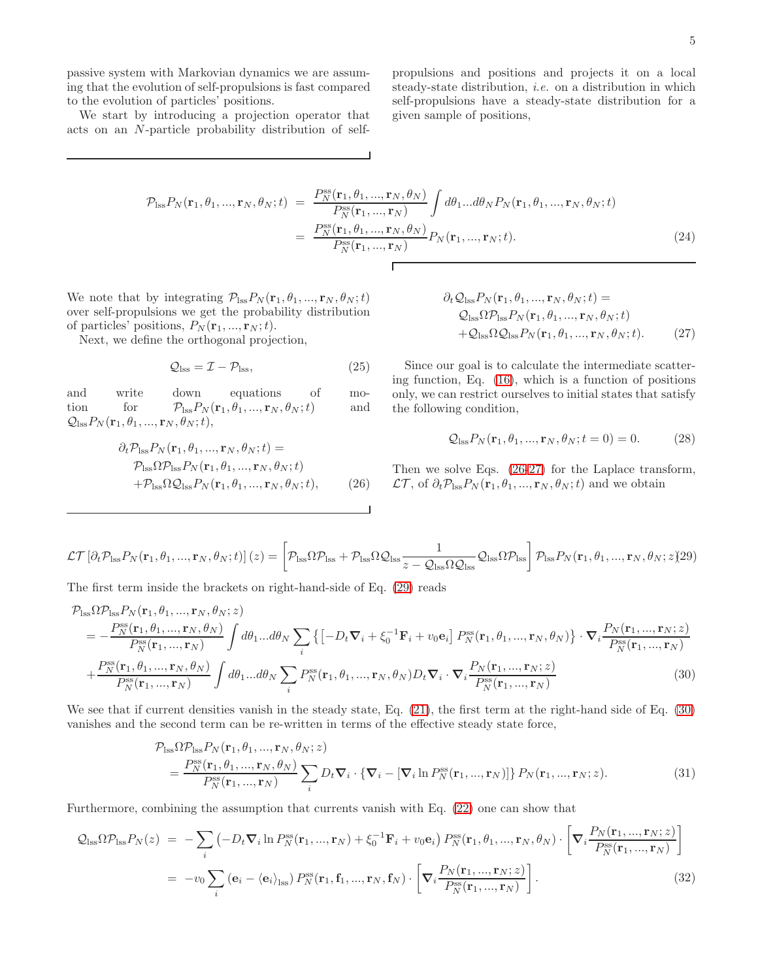passive system with Markovian dynamics we are assuming that the evolution of self-propulsions is fast compared to the evolution of particles' positions.

We start by introducing a projection operator that acts on an N-particle probability distribution of selfpropulsions and positions and projects it on a local steady-state distribution, i.e. on a distribution in which self-propulsions have a steady-state distribution for a given sample of positions,

$$
\mathcal{P}_{\text{lss}} P_N(\mathbf{r}_1, \theta_1, \dots, \mathbf{r}_N, \theta_N; t) = \frac{P_N^{\text{ss}}(\mathbf{r}_1, \theta_1, \dots, \mathbf{r}_N, \theta_N)}{P_N^{\text{ss}}(\mathbf{r}_1, \dots, \mathbf{r}_N)} \int d\theta_1 \dots d\theta_N P_N(\mathbf{r}_1, \theta_1, \dots, \mathbf{r}_N, \theta_N; t)
$$

$$
= \frac{P_N^{\text{ss}}(\mathbf{r}_1, \theta_1, \dots, \mathbf{r}_N, \theta_N)}{P_N^{\text{ss}}(\mathbf{r}_1, \dots, \mathbf{r}_N)} P_N(\mathbf{r}_1, \dots, \mathbf{r}_N; t). \tag{24}
$$

We note that by integrating  $\mathcal{P}_{\text{lss}}P_N(\mathbf{r}_1, \theta_1, ..., \mathbf{r}_N, \theta_N; t)$ over self-propulsions we get the probability distribution of particles' positions,  $P_N(\mathbf{r}_1, ..., \mathbf{r}_N; t)$ .

Next, we define the orthogonal projection,

$$
Q_{\rm lss} = \mathcal{I} - \mathcal{P}_{\rm lss},\tag{25}
$$

and write down equations of motion for  $\mathcal{P}_{\text{lss}}P_N(\mathbf{r}_1, \theta_1, ..., \mathbf{r}_N, \theta_N; t)$  and  $\mathcal{Q}_{\text{lss}}P_N(\mathbf{r}_1, \theta_1, ..., \mathbf{r}_N, \theta_N; t),$ 

<span id="page-4-0"></span>
$$
\partial_t \mathcal{P}_{\text{lss}} P_N(\mathbf{r}_1, \theta_1, ..., \mathbf{r}_N, \theta_N; t) =
$$
  
\n
$$
\mathcal{P}_{\text{lss}} \Omega \mathcal{P}_{\text{lss}} P_N(\mathbf{r}_1, \theta_1, ..., \mathbf{r}_N, \theta_N; t)
$$
  
\n
$$
+ \mathcal{P}_{\text{lss}} \Omega \mathcal{Q}_{\text{lss}} P_N(\mathbf{r}_1, \theta_1, ..., \mathbf{r}_N, \theta_N; t), \qquad (26)
$$

<span id="page-4-1"></span>
$$
\partial_t \mathcal{Q}_{\text{ISS}} P_N(\mathbf{r}_1, \theta_1, ..., \mathbf{r}_N, \theta_N; t) =
$$
  
\n
$$
\mathcal{Q}_{\text{ISS}} \Omega \mathcal{P}_{\text{ISS}} P_N(\mathbf{r}_1, \theta_1, ..., \mathbf{r}_N, \theta_N; t)
$$
  
\n
$$
+ \mathcal{Q}_{\text{ISS}} \Omega \mathcal{Q}_{\text{ISS}} P_N(\mathbf{r}_1, \theta_1, ..., \mathbf{r}_N, \theta_N; t).
$$
 (27)

Since our goal is to calculate the intermediate scattering function, Eq. [\(16\)](#page-3-3), which is a function of positions only, we can restrict ourselves to initial states that satisfy the following condition,

$$
Q_{\text{lss}}P_N(\mathbf{r}_1, \theta_1, \dots, \mathbf{r}_N, \theta_N; t = 0) = 0. \tag{28}
$$

Then we solve Eqs. [\(26](#page-4-0)[-27\)](#page-4-1) for the Laplace transform,  $\mathcal{LT}$ , of  $\partial_t \mathcal{P}_{\text{lss}} P_N(\mathbf{r}_1, \theta_1, ..., \mathbf{r}_N, \theta_N; t)$  and we obtain

<span id="page-4-2"></span>
$$
\mathcal{LT}\left[\partial_t \mathcal{P}_{\text{lss}} P_N(\mathbf{r}_1, \theta_1, ..., \mathbf{r}_N, \theta_N; t)\right](z) = \left[\mathcal{P}_{\text{lss}} \Omega \mathcal{P}_{\text{lss}} + \mathcal{P}_{\text{lss}} \Omega \mathcal{Q}_{\text{lss}} \frac{1}{z - \mathcal{Q}_{\text{lss}} \Omega \mathcal{Q}_{\text{lss}}}\mathcal{Q}_{\text{lss}} \Omega \mathcal{P}_{\text{lss}}\right] \mathcal{P}_{\text{lss}} P_N(\mathbf{r}_1, \theta_1, ..., \mathbf{r}_N, \theta_N; z)(29)
$$

The first term inside the brackets on right-hand-side of Eq. [\(29\)](#page-4-2) reads

<span id="page-4-3"></span>
$$
\mathcal{P}_{\text{ISS}}\Omega\mathcal{P}_{\text{ISS}}P_{N}(\mathbf{r}_{1},\theta_{1},\dots,\mathbf{r}_{N},\theta_{N};z) = -\frac{P_{N}^{\text{ss}}(\mathbf{r}_{1},\theta_{1},\dots,\mathbf{r}_{N},\theta_{N})}{P_{N}^{\text{ss}}(\mathbf{r}_{1},\dots,\mathbf{r}_{N})}\int d\theta_{1}...\,d\theta_{N}\sum_{i}\left\{[-D_{t}\nabla_{i}+\xi_{0}^{-1}\mathbf{F}_{i}+v_{0}\mathbf{e}_{i}]P_{N}^{\text{ss}}(\mathbf{r}_{1},\theta_{1},\dots,\mathbf{r}_{N},\theta_{N})\right\}\cdot\nabla_{i}\frac{P_{N}(\mathbf{r}_{1},\dots,\mathbf{r}_{N};z)}{P_{N}^{\text{ss}}(\mathbf{r}_{1},\dots,\mathbf{r}_{N})} + \frac{P_{N}^{\text{ss}}(\mathbf{r}_{1},\theta_{1},\dots,\mathbf{r}_{N},\theta_{N})}{P_{N}^{\text{ss}}(\mathbf{r}_{1},\dots,\mathbf{r}_{N})}\int d\theta_{1}...\,d\theta_{N}\sum_{i}P_{N}^{\text{ss}}(\mathbf{r}_{1},\theta_{1},\dots,\mathbf{r}_{N},\theta_{N})D_{t}\nabla_{i}\cdot\nabla_{i}\frac{P_{N}(\mathbf{r}_{1},\dots,\mathbf{r}_{N};z)}{P_{N}^{\text{ss}}(\mathbf{r}_{1},\dots,\mathbf{r}_{N})}
$$
(30)

We see that if current densities vanish in the steady state, Eq. [\(21\)](#page-3-6), the first term at the right-hand side of Eq. [\(30\)](#page-4-3) vanishes and the second term can be re-written in terms of the effective steady state force,

<span id="page-4-5"></span>
$$
\mathcal{P}_{\text{lss}}\Omega\mathcal{P}_{\text{lss}}P_N(\mathbf{r}_1,\theta_1,\dots,\mathbf{r}_N,\theta_N;z)
$$
\n
$$
=\frac{P_N^{\text{ss}}(\mathbf{r}_1,\theta_1,\dots,\mathbf{r}_N,\theta_N)}{P_N^{\text{ss}}(\mathbf{r}_1,\dots,\mathbf{r}_N)}\sum_i D_t\mathbf{\nabla}_i\cdot\{\mathbf{\nabla}_i - [\mathbf{\nabla}_i\ln P_N^{\text{ss}}(\mathbf{r}_1,\dots,\mathbf{r}_N)]\}P_N(\mathbf{r}_1,\dots,\mathbf{r}_N;z).
$$
\n(31)

Furthermore, combining the assumption that currents vanish with Eq. [\(22\)](#page-3-7) one can show that

<span id="page-4-4"></span>
$$
Q_{\text{Lss}}\Omega P_{\text{Lss}}P_N(z) = -\sum_i \left( -D_t \nabla_i \ln P_N^{\text{ss}}(\mathbf{r}_1, ..., \mathbf{r}_N) + \xi_0^{-1} \mathbf{F}_i + v_0 \mathbf{e}_i \right) P_N^{\text{ss}}(\mathbf{r}_1, \theta_1, ..., \mathbf{r}_N, \theta_N) \cdot \left[ \nabla_i \frac{P_N(\mathbf{r}_1, ..., \mathbf{r}_N; z)}{P_N^{\text{ss}}(\mathbf{r}_1, ..., \mathbf{r}_N)} \right]
$$
  
= 
$$
-v_0 \sum_i \left( \mathbf{e}_i - \langle \mathbf{e}_i \rangle_{\text{Lss}} \right) P_N^{\text{ss}}(\mathbf{r}_1, \mathbf{f}_1, ..., \mathbf{r}_N, \mathbf{f}_N) \cdot \left[ \nabla_i \frac{P_N(\mathbf{r}_1, ..., \mathbf{r}_N; z)}{P_N^{\text{ss}}(\mathbf{r}_1, ..., \mathbf{r}_N)} \right].
$$
 (32)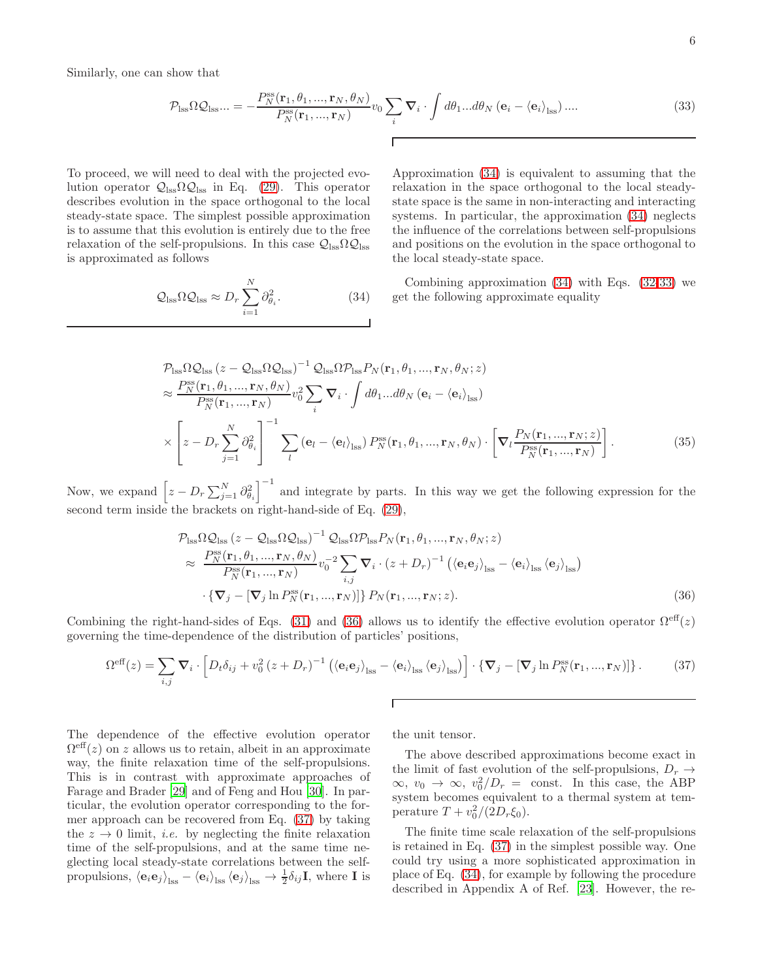Similarly, one can show that

<span id="page-5-1"></span>
$$
\mathcal{P}_{\text{ISS}}\Omega\mathcal{Q}_{\text{ISS}}... = -\frac{P_N^{\text{SS}}(\mathbf{r}_1, \theta_1, ..., \mathbf{r}_N, \theta_N)}{P_N^{\text{SS}}(\mathbf{r}_1, ..., \mathbf{r}_N)} v_0 \sum_i \nabla_i \cdot \int d\theta_1 ... d\theta_N \left(\mathbf{e}_i - \langle \mathbf{e}_i \rangle_{\text{ISS}}\right) .... \tag{33}
$$

To proceed, we will need to deal with the projected evolution operator  $Q_{\text{lss}}\Omega Q_{\text{lss}}$  in Eq. [\(29\)](#page-4-2). This operator describes evolution in the space orthogonal to the local steady-state space. The simplest possible approximation is to assume that this evolution is entirely due to the free relaxation of the self-propulsions. In this case  $\mathcal{Q}_{\text{loss}}\Omega\mathcal{Q}_{\text{loss}}$ is approximated as follows

<span id="page-5-0"></span>
$$
\mathcal{Q}_{\text{loss}} \Omega \mathcal{Q}_{\text{loss}} \approx D_r \sum_{i=1}^{N} \partial_{\theta_i}^2.
$$
 (34)

Approximation [\(34\)](#page-5-0) is equivalent to assuming that the relaxation in the space orthogonal to the local steadystate space is the same in non-interacting and interacting systems. In particular, the approximation [\(34\)](#page-5-0) neglects the influence of the correlations between self-propulsions and positions on the evolution in the space orthogonal to the local steady-state space.

Combining approximation  $(34)$  with Eqs.  $(32-33)$  $(32-33)$  we get the following approximate equality

$$
\mathcal{P}_{\text{ISS}}\Omega\mathcal{Q}_{\text{ISS}}(z-\mathcal{Q}_{\text{ISS}}\Omega\mathcal{Q}_{\text{ISS}})^{-1}\mathcal{Q}_{\text{ISS}}\Omega\mathcal{P}_{\text{ISS}}P_{N}(\mathbf{r}_{1},\theta_{1},\dots,\mathbf{r}_{N},\theta_{N};z) \n\approx \frac{P_{N}^{\text{ss}}(\mathbf{r}_{1},\theta_{1},\dots,\mathbf{r}_{N},\theta_{N})}{P_{N}^{\text{ss}}(\mathbf{r}_{1},\dots,\mathbf{r}_{N})}v_{0}^{2}\sum_{i}\nabla_{i}\cdot\int d\theta_{1}...\,d\theta_{N}(\mathbf{e}_{i}-\langle\mathbf{e}_{i}\rangle_{\text{ISS}}) \n\times \left[z-D_{r}\sum_{j=1}^{N}\partial_{\theta_{i}}^{2}\right]^{-1}\sum_{l}(\mathbf{e}_{l}-\langle\mathbf{e}_{l}\rangle_{\text{ISS}})P_{N}^{\text{ss}}(\mathbf{r}_{1},\theta_{1},\dots,\mathbf{r}_{N},\theta_{N})\cdot\left[\nabla_{l}\frac{P_{N}(\mathbf{r}_{1},\dots,\mathbf{r}_{N};z)}{P_{N}^{\text{ss}}(\mathbf{r}_{1},\dots,\mathbf{r}_{N})}\right].
$$
\n(35)

Now, we expand  $\left[z - D_r \sum_{j=1}^N \partial_{\theta_i}^2\right]^{-1}$  and integrate by parts. In this way we get the following expression for the second term inside the brackets on right-hand-side of Eq. [\(29\)](#page-4-2),

<span id="page-5-2"></span>
$$
\mathcal{P}_{\text{LSS}} \Omega \mathcal{Q}_{\text{LSS}} (z - \mathcal{Q}_{\text{LSS}} \Omega \mathcal{Q}_{\text{LSS}})^{-1} \mathcal{Q}_{\text{LSS}} \Omega \mathcal{P}_{\text{LSS}} P_N(\mathbf{r}_1, \theta_1, ..., \mathbf{r}_N, \theta_N; z) \n\approx \frac{P_N^{\text{ss}}(\mathbf{r}_1, \theta_1, ..., \mathbf{r}_N, \theta_N)}{P_N^{\text{ss}}(\mathbf{r}_1, ..., \mathbf{r}_N)} v_0^{-2} \sum_{i,j} \nabla_i \cdot (z + D_r)^{-1} \left( \langle \mathbf{e}_i \mathbf{e}_j \rangle_{\text{LSS}} - \langle \mathbf{e}_i \rangle_{\text{LSS}} \langle \mathbf{e}_j \rangle_{\text{LSS}} \right) \n\cdot \left\{ \nabla_j - \left[ \nabla_j \ln P_N^{\text{ss}}(\mathbf{r}_1, ..., \mathbf{r}_N) \right] \right\} P_N(\mathbf{r}_1, ..., \mathbf{r}_N; z).
$$
\n(36)

Combining the right-hand-sides of Eqs. [\(31\)](#page-4-5) and [\(36\)](#page-5-2) allows us to identify the effective evolution operator  $\Omega^{\text{eff}}(z)$ governing the time-dependence of the distribution of particles' positions,

<span id="page-5-3"></span>
$$
\Omega^{\text{eff}}(z) = \sum_{i,j} \mathbf{\nabla}_i \cdot \left[ D_t \delta_{ij} + v_0^2 (z + D_r)^{-1} \left( \langle \mathbf{e}_i \mathbf{e}_j \rangle_{\text{lss}} - \langle \mathbf{e}_i \rangle_{\text{lss}} \langle \mathbf{e}_j \rangle_{\text{lss}} \right) \right] \cdot \left\{ \mathbf{\nabla}_j - \left[ \mathbf{\nabla}_j \ln P_N^{\text{ss}}(\mathbf{r}_1, ..., \mathbf{r}_N) \right] \right\}. \tag{37}
$$

 $\Gamma$ 

The dependence of the effective evolution operator  $\Omega^{\text{eff}}(z)$  on z allows us to retain, albeit in an approximate way, the finite relaxation time of the self-propulsions. This is in contrast with approximate approaches of Farage and Brader [\[29\]](#page-12-25) and of Feng and Hou [\[30\]](#page-12-26). In particular, the evolution operator corresponding to the former approach can be recovered from Eq. [\(37\)](#page-5-3) by taking the  $z \to 0$  limit, *i.e.* by neglecting the finite relaxation time of the self-propulsions, and at the same time neglecting local steady-state correlations between the selfpropulsions,  $\langle e_i e_j \rangle_{\text{lss}} - \langle e_i \rangle_{\text{lss}} \langle e_j \rangle_{\text{lss}} \rightarrow \frac{1}{2} \delta_{ij} I$ , where I is

the unit tensor.

The above described approximations become exact in the limit of fast evolution of the self-propulsions,  $D_r \rightarrow$  $\infty, v_0 \to \infty, v_0^2/D_r = \text{const.}$  In this case, the ABP system becomes equivalent to a thermal system at temperature  $T + v_0^2/(2D_r \xi_0)$ .

The finite time scale relaxation of the self-propulsions is retained in Eq. [\(37\)](#page-5-3) in the simplest possible way. One could try using a more sophisticated approximation in place of Eq. [\(34\)](#page-5-0), for example by following the procedure described in Appendix A of Ref. [\[23](#page-12-19)]. However, the re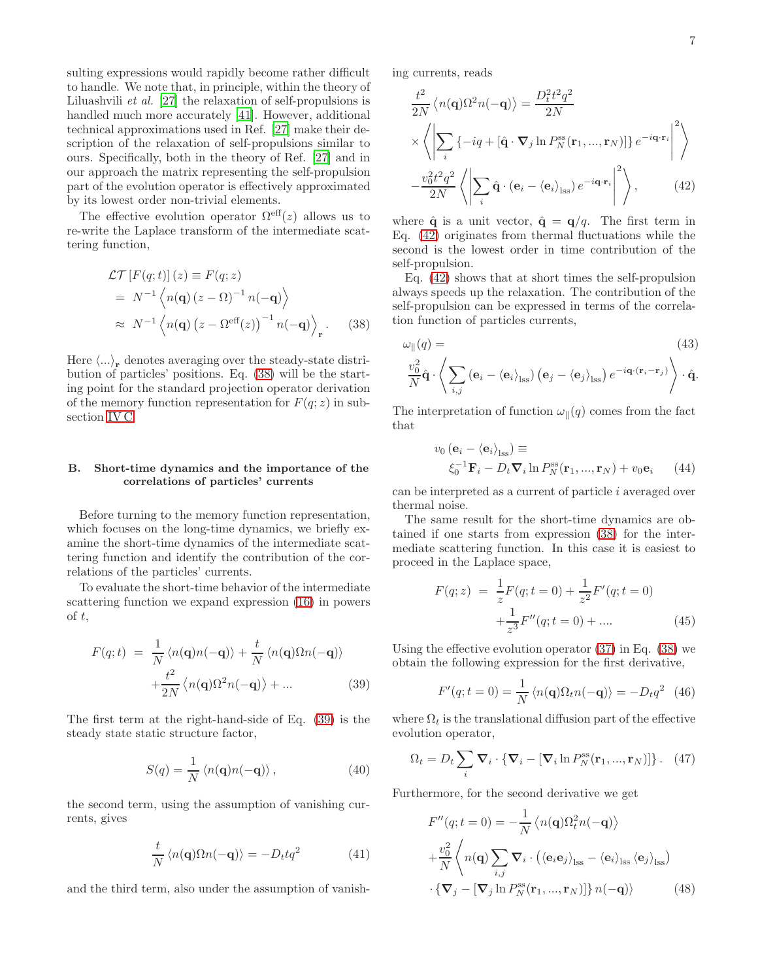sulting expressions would rapidly become rather difficult to handle. We note that, in principle, within the theory of Liluashvili et al. [\[27](#page-12-23)] the relaxation of self-propulsions is handled much more accurately [\[41\]](#page-13-8). However, additional technical approximations used in Ref. [\[27](#page-12-23)] make their description of the relaxation of self-propulsions similar to ours. Specifically, both in the theory of Ref. [\[27\]](#page-12-23) and in our approach the matrix representing the self-propulsion part of the evolution operator is effectively approximated by its lowest order non-trivial elements.

The effective evolution operator  $\Omega^{\text{eff}}(z)$  allows us to re-write the Laplace transform of the intermediate scattering function,

<span id="page-6-0"></span>
$$
\mathcal{LT}\left[F(q;t)\right](z) \equiv F(q;z)
$$
  
=  $N^{-1}\left\langle n(\mathbf{q})\left(z-\Omega\right)^{-1}n(-\mathbf{q})\right\rangle$   
 $\approx N^{-1}\left\langle n(\mathbf{q})\left(z-\Omega^{\text{eff}}(z)\right)^{-1}n(-\mathbf{q})\right\rangle_{\mathbf{r}}.$  (38)

Here  $\langle \ldots \rangle_{\mathbf{r}}$  denotes averaging over the steady-state distribution of particles' positions. Eq. [\(38\)](#page-6-0) will be the starting point for the standard projection operator derivation of the memory function representation for  $F(q; z)$  in subsection [IV C.](#page-7-0)

#### B. Short-time dynamics and the importance of the correlations of particles' currents

Before turning to the memory function representation, which focuses on the long-time dynamics, we briefly examine the short-time dynamics of the intermediate scattering function and identify the contribution of the correlations of the particles' currents.

To evaluate the short-time behavior of the intermediate scattering function we expand expression [\(16\)](#page-3-3) in powers of t,

<span id="page-6-1"></span>
$$
F(q;t) = \frac{1}{N} \langle n(\mathbf{q})n(-\mathbf{q}) \rangle + \frac{t}{N} \langle n(\mathbf{q})\Omega n(-\mathbf{q}) \rangle
$$

$$
+ \frac{t^2}{2N} \langle n(\mathbf{q})\Omega^2 n(-\mathbf{q}) \rangle + \dots
$$
(39)

The first term at the right-hand-side of Eq. [\(39\)](#page-6-1) is the steady state static structure factor,

$$
S(q) = \frac{1}{N} \langle n(\mathbf{q})n(-\mathbf{q})\rangle, \qquad (40)
$$

the second term, using the assumption of vanishing currents, gives

$$
\frac{t}{N} \langle n(\mathbf{q}) \Omega n(-\mathbf{q}) \rangle = -D_t t q^2 \tag{41}
$$

and the third term, also under the assumption of vanish-

ing currents, reads

<span id="page-6-2"></span>
$$
\frac{t^2}{2N} \langle n(\mathbf{q}) \Omega^2 n(-\mathbf{q}) \rangle = \frac{D_t^2 t^2 q^2}{2N}
$$

$$
\times \left\langle \left| \sum_i \{-iq + [\hat{\mathbf{q}} \cdot \nabla_j \ln P_N^{\rm ss}(\mathbf{r}_1, ..., \mathbf{r}_N)] \} e^{-i\mathbf{q} \cdot \mathbf{r}_i} \right|^2 \right\rangle
$$

$$
-\frac{v_0^2 t^2 q^2}{2N} \left\langle \left| \sum_i \hat{\mathbf{q}} \cdot (\mathbf{e}_i - \langle \mathbf{e}_i \rangle_{\rm lss}) e^{-i\mathbf{q} \cdot \mathbf{r}_i} \right|^2 \right\rangle, \qquad (42)
$$

where  $\hat{\mathbf{q}}$  is a unit vector,  $\hat{\mathbf{q}} = \mathbf{q}/q$ . The first term in Eq. [\(42\)](#page-6-2) originates from thermal fluctuations while the second is the lowest order in time contribution of the self-propulsion.

Eq. [\(42\)](#page-6-2) shows that at short times the self-propulsion always speeds up the relaxation. The contribution of the self-propulsion can be expressed in terms of the correlation function of particles currents,

$$
\omega_{\parallel}(q) = \qquad (43)
$$

$$
\frac{v_0^2}{N}\hat{\mathbf{q}} \cdot \left\langle \sum_{i,j} \left( \mathbf{e}_i - \langle \mathbf{e}_i \rangle_{\text{lss}} \right) \left( \mathbf{e}_j - \langle \mathbf{e}_j \rangle_{\text{lss}} \right) e^{-i\mathbf{q} \cdot (\mathbf{r}_i - \mathbf{r}_j)} \right\rangle \cdot \hat{\mathbf{q}}.
$$

The interpretation of function  $\omega_{\parallel}(q)$  comes from the fact that

$$
v_0 (\mathbf{e}_i - \langle \mathbf{e}_i \rangle)_{\text{ISS}}) \equiv \n\zeta_0^{-1} \mathbf{F}_i - D_t \nabla_i \ln P_N^{\text{ss}}(\mathbf{r}_1, ..., \mathbf{r}_N) + v_0 \mathbf{e}_i \qquad (44)
$$

can be interpreted as a current of particle i averaged over thermal noise.

The same result for the short-time dynamics are obtained if one starts from expression [\(38\)](#page-6-0) for the intermediate scattering function. In this case it is easiest to proceed in the Laplace space,

$$
F(q; z) = \frac{1}{z}F(q; t = 0) + \frac{1}{z^2}F'(q; t = 0)
$$

$$
+\frac{1}{z^3}F''(q; t = 0) + \dots
$$
(45)

Using the effective evolution operator  $(37)$  in Eq.  $(38)$  we obtain the following expression for the first derivative,

$$
F'(q; t = 0) = \frac{1}{N} \langle n(\mathbf{q}) \Omega_t n(-\mathbf{q}) \rangle = -D_t q^2 \quad (46)
$$

where  $\Omega_t$  is the translational diffusion part of the effective evolution operator,

$$
\Omega_t = D_t \sum_i \mathbf{\nabla}_i \cdot \{ \mathbf{\nabla}_i - [\mathbf{\nabla}_i \ln P_N^{\text{ss}}(\mathbf{r}_1, ..., \mathbf{r}_N)] \} .
$$
 (47)

Furthermore, for the second derivative we get

$$
F''(q; t = 0) = -\frac{1}{N} \langle n(\mathbf{q}) \Omega_t^2 n(-\mathbf{q}) \rangle
$$
  
+  $\frac{v_0^2}{N} \langle n(\mathbf{q}) \sum_{i,j} \nabla_i \cdot (\langle \mathbf{e}_i \mathbf{e}_j \rangle_{\text{lss}} - \langle \mathbf{e}_i \rangle_{\text{lss}} \langle \mathbf{e}_j \rangle_{\text{lss}})$   
+  $\{ \nabla_j - [\nabla_j \ln P_N^{\text{ss}}(\mathbf{r}_1, ..., \mathbf{r}_N)] \} n(-\mathbf{q}) \rangle$  (48)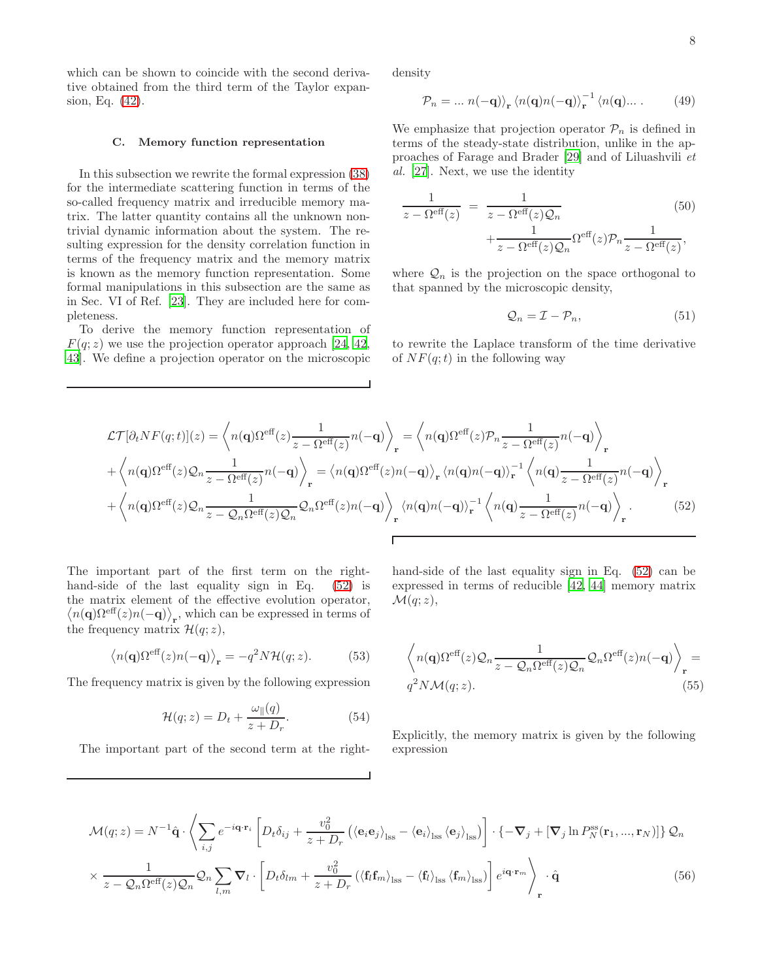which can be shown to coincide with the second derivative obtained from the third term of the Taylor expansion, Eq. [\(42\)](#page-6-2).

#### <span id="page-7-0"></span>C. Memory function representation

In this subsection we rewrite the formal expression [\(38\)](#page-6-0) for the intermediate scattering function in terms of the so-called frequency matrix and irreducible memory matrix. The latter quantity contains all the unknown nontrivial dynamic information about the system. The resulting expression for the density correlation function in terms of the frequency matrix and the memory matrix is known as the memory function representation. Some formal manipulations in this subsection are the same as in Sec. VI of Ref. [\[23](#page-12-19)]. They are included here for completeness.

To derive the memory function representation of  $F(q; z)$  we use the projection operator approach [\[24](#page-12-20), [42](#page-13-9), [43\]](#page-13-10). We define a projection operator on the microscopic density

$$
\mathcal{P}_n = \dots n(-\mathbf{q})\rangle_{\mathbf{r}} \langle n(\mathbf{q})n(-\mathbf{q})\rangle_{\mathbf{r}}^{-1} \langle n(\mathbf{q})\dots \tag{49}
$$

We emphasize that projection operator  $\mathcal{P}_n$  is defined in terms of the steady-state distribution, unlike in the approaches of Farage and Brader [\[29\]](#page-12-25) and of Liluashvili et al. [\[27\]](#page-12-23). Next, we use the identity

<span id="page-7-3"></span>
$$
\frac{1}{z - \Omega^{\text{eff}}(z)} = \frac{1}{z - \Omega^{\text{eff}}(z)\mathcal{Q}_n} \qquad (50)
$$

$$
+ \frac{1}{z - \Omega^{\text{eff}}(z)\mathcal{Q}_n} \Omega^{\text{eff}}(z)\mathcal{P}_n \frac{1}{z - \Omega^{\text{eff}}(z)},
$$

where  $\mathcal{Q}_n$  is the projection on the space orthogonal to that spanned by the microscopic density,

$$
\mathcal{Q}_n = \mathcal{I} - \mathcal{P}_n,\tag{51}
$$

to rewrite the Laplace transform of the time derivative of  $NF(q;t)$  in the following way

<span id="page-7-1"></span>
$$
\mathcal{L}\mathcal{T}[\partial_t NF(q;t)](z) = \left\langle n(\mathbf{q})\Omega^{\text{eff}}(z)\frac{1}{z - \Omega^{\text{eff}}(z)}n(-\mathbf{q})\right\rangle_{\mathbf{r}} = \left\langle n(\mathbf{q})\Omega^{\text{eff}}(z)\mathcal{P}_n\frac{1}{z - \Omega^{\text{eff}}(z)}n(-\mathbf{q})\right\rangle_{\mathbf{r}} + \left\langle n(\mathbf{q})\Omega^{\text{eff}}(z)\mathcal{Q}_n\frac{1}{z - \Omega^{\text{eff}}(z)}n(-\mathbf{q})\right\rangle_{\mathbf{r}} = \left\langle n(\mathbf{q})\Omega^{\text{eff}}(z)n(-\mathbf{q})\right\rangle_{\mathbf{r}}\left\langle n(\mathbf{q})n(-\mathbf{q})\right\rangle_{\mathbf{r}}^{-1}\left\langle n(\mathbf{q})\frac{1}{z - \Omega^{\text{eff}}(z)}n(-\mathbf{q})\right\rangle_{\mathbf{r}} + \left\langle n(\mathbf{q})\Omega^{\text{eff}}(z)\mathcal{Q}_n\frac{1}{z - \mathcal{Q}_n\Omega^{\text{eff}}(z)\mathcal{Q}_n}\mathcal{Q}_n\Omega^{\text{eff}}(z)n(-\mathbf{q})\right\rangle_{\mathbf{r}}\left\langle n(\mathbf{q})n(-\mathbf{q})\right\rangle_{\mathbf{r}}^{-1}\left\langle n(\mathbf{q})\frac{1}{z - \Omega^{\text{eff}}(z)}n(-\mathbf{q})\right\rangle_{\mathbf{r}}.
$$
\n(52)

The important part of the first term on the righthand-side of the last equality sign in Eq. [\(52\)](#page-7-1) is the matrix element of the effective evolution operator,  $\langle n(\mathbf{q})\Omega^{\text{eff}}(z)n(-\mathbf{q})\rangle_{\mathbf{r}},$  which can be expressed in terms of the frequency matrix  $\mathcal{H}(q; z)$ ,

$$
\langle n(\mathbf{q})\Omega^{\text{eff}}(z)n(-\mathbf{q})\rangle_{\mathbf{r}} = -q^2N\mathcal{H}(q;z).
$$
 (53)

The frequency matrix is given by the following expression

$$
\mathcal{H}(q; z) = D_t + \frac{\omega_{\parallel}(q)}{z + D_r}.
$$
 (54)

The important part of the second term at the right-

hand-side of the last equality sign in Eq. (52) can be expressed in terms of reducible [42, 44] memory matrix 
$$
\mathcal{M}(q; z)
$$
,

$$
\left\langle n(\mathbf{q})\Omega^{\text{eff}}(z)\mathcal{Q}_n \frac{1}{z - \mathcal{Q}_n \Omega^{\text{eff}}(z)\mathcal{Q}_n} \mathcal{Q}_n \Omega^{\text{eff}}(z)n(-\mathbf{q}) \right\rangle_{\mathbf{r}} = q^2 N \mathcal{M}(q; z).
$$
\n(55)

Explicitly, the memory matrix is given by the following expression

<span id="page-7-2"></span>
$$
\mathcal{M}(q;z) = N^{-1}\hat{\mathbf{q}} \cdot \left\langle \sum_{i,j} e^{-i\mathbf{q} \cdot \mathbf{r}_i} \left[ D_t \delta_{ij} + \frac{v_0^2}{z + D_r} \left( \langle \mathbf{e}_i \mathbf{e}_j \rangle_{\text{lss}} - \langle \mathbf{e}_i \rangle_{\text{lss}} \langle \mathbf{e}_j \rangle_{\text{lss}} \right) \right] \cdot \left\{ -\nabla_j + [\nabla_j \ln P_N^{\text{ss}}(\mathbf{r}_1, ..., \mathbf{r}_N)] \right\} \mathcal{Q}_n
$$
  
 
$$
\times \frac{1}{z - \mathcal{Q}_n \Omega^{\text{eff}}(z) \mathcal{Q}_n} \mathcal{Q}_n \sum_{l,m} \nabla_l \cdot \left[ D_t \delta_{lm} + \frac{v_0^2}{z + D_r} \left( \langle \mathbf{f}_l \mathbf{f}_m \rangle_{\text{lss}} - \langle \mathbf{f}_l \rangle_{\text{lss}} \langle \mathbf{f}_m \rangle_{\text{lss}} \right) \right] e^{i\mathbf{q} \cdot \mathbf{r}_m} \right\rangle_{\mathbf{r}} \cdot \hat{\mathbf{q}} \tag{56}
$$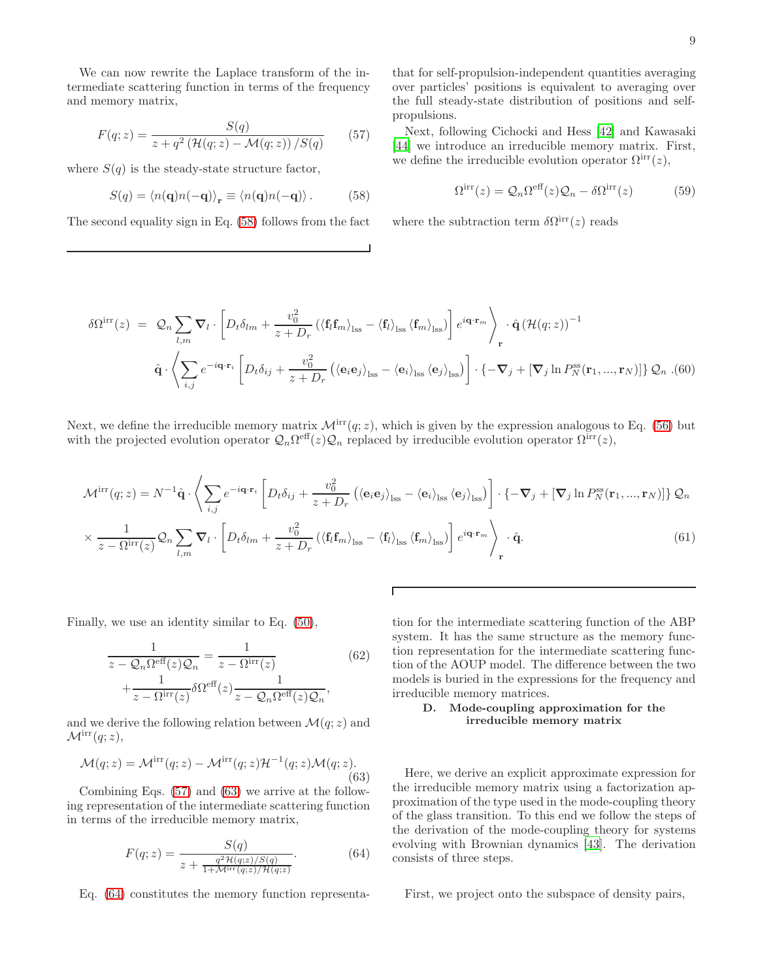We can now rewrite the Laplace transform of the intermediate scattering function in terms of the frequency and memory matrix,

<span id="page-8-1"></span>
$$
F(q;z) = \frac{S(q)}{z + q^2 \left(\mathcal{H}(q;z) - \mathcal{M}(q;z)\right) / S(q)}\tag{57}
$$

where  $S(q)$  is the steady-state structure factor,

<span id="page-8-0"></span>
$$
S(q) = \langle n(\mathbf{q})n(-\mathbf{q})\rangle_{\mathbf{r}} \equiv \langle n(\mathbf{q})n(-\mathbf{q})\rangle. \tag{58}
$$

The second equality sign in Eq. [\(58\)](#page-8-0) follows from the fact

that for self-propulsion-independent quantities averaging over particles' positions is equivalent to averaging over the full steady-state distribution of positions and selfpropulsions.

Next, following Cichocki and Hess [\[42\]](#page-13-9) and Kawasaki [\[44\]](#page-13-11) we introduce an irreducible memory matrix. First, we define the irreducible evolution operator  $\Omega^{\text{irr}}(z)$ ,

$$
\Omega^{\rm irr}(z) = \mathcal{Q}_n \Omega^{\rm eff}(z) \mathcal{Q}_n - \delta \Omega^{\rm irr}(z) \tag{59}
$$

where the subtraction term  $\delta \Omega^{\text{irr}}(z)$  reads

$$
\delta\Omega^{\text{irr}}(z) = Q_n \sum_{l,m} \nabla_l \cdot \left[ D_t \delta_{lm} + \frac{v_0^2}{z+D_r} \left( \left\langle \mathbf{f}_l \mathbf{f}_m \right\rangle_{\text{lss}} - \left\langle \mathbf{f}_l \right\rangle_{\text{lss}} \left\langle \mathbf{f}_m \right\rangle_{\text{lss}} \right] e^{i\mathbf{q} \cdot \mathbf{r}_m} \right\rangle_{\mathbf{r}} \cdot \hat{\mathbf{q}} \left( \mathcal{H}(q;z) \right)^{-1}
$$

$$
\hat{\mathbf{q}} \cdot \left\langle \sum_{i,j} e^{-i\mathbf{q} \cdot \mathbf{r}_i} \left[ D_t \delta_{ij} + \frac{v_0^2}{z+D_r} \left( \left\langle \mathbf{e}_i \mathbf{e}_j \right\rangle_{\text{lss}} - \left\langle \mathbf{e}_i \right\rangle_{\text{lss}} \left\langle \mathbf{e}_j \right\rangle_{\text{lss}} \right) \right] \cdot \left\{ -\nabla_j + \left[ \nabla_j \ln P_N^{\text{ss}}(\mathbf{r}_1, ..., \mathbf{r}_N) \right] \right\} \mathcal{Q}_n \right. \tag{60}
$$

Next, we define the irreducible memory matrix  $\mathcal{M}^{irr}(q; z)$ , which is given by the expression analogous to Eq. [\(56\)](#page-7-2) but with the projected evolution operator  $Q_n \Omega^{\text{eff}}(z) Q_n$  replaced by irreducible evolution operator  $\Omega^{\text{irr}}(z)$ ,

$$
\mathcal{M}^{\rm irr}(q;z) = N^{-1}\hat{\mathbf{q}} \cdot \left\langle \sum_{i,j} e^{-i\mathbf{q} \cdot \mathbf{r}_{i}} \left[ D_{t}\delta_{ij} + \frac{v_{0}^{2}}{z + D_{r}} \left( \langle \mathbf{e}_{i} \mathbf{e}_{j} \rangle_{\rm lss} - \langle \mathbf{e}_{i} \rangle_{\rm lss} \langle \mathbf{e}_{j} \rangle_{\rm lss} \right) \right] \cdot \left\{ -\nabla_{j} + \left[ \nabla_{j} \ln P_{N}^{\rm ss}(\mathbf{r}_{1},...,\mathbf{r}_{N}) \right] \right\} \mathcal{Q}_{n}
$$

$$
\times \frac{1}{z - \Omega^{\rm irr}(z)} \mathcal{Q}_{n} \sum_{l,m} \nabla_{l} \cdot \left[ D_{t}\delta_{lm} + \frac{v_{0}^{2}}{z + D_{r}} \left( \langle \mathbf{f}_{l} \mathbf{f}_{m} \rangle_{\rm lss} - \langle \mathbf{f}_{l} \rangle_{\rm lss} \langle \mathbf{f}_{m} \rangle_{\rm lss} \right) \right] e^{i\mathbf{q} \cdot \mathbf{r}_{m}} \right\rangle_{\mathbf{r}} \cdot \hat{\mathbf{q}}.
$$
(61)

Finally, we use an identity similar to Eq. [\(50\)](#page-7-3),

$$
\frac{1}{z - Q_n \Omega^{\text{eff}}(z)Q_n} = \frac{1}{z - \Omega^{\text{irr}}(z)}\tag{62}
$$
\n
$$
+ \frac{1}{z - \Omega^{\text{irr}}(z)} \delta \Omega^{\text{eff}}(z) \frac{1}{z - Q_n \Omega^{\text{eff}}(z)Q_n},
$$

and we derive the following relation between  $\mathcal{M}(q; z)$  and  $\mathcal{M}^{\text{irr}}(q;z),$ 

<span id="page-8-2"></span>
$$
\mathcal{M}(q;z) = \mathcal{M}^{\rm irr}(q;z) - \mathcal{M}^{\rm irr}(q;z) \mathcal{H}^{-1}(q;z) \mathcal{M}(q;z). \tag{63}
$$

Combining Eqs. [\(57\)](#page-8-1) and [\(63\)](#page-8-2) we arrive at the following representation of the intermediate scattering function in terms of the irreducible memory matrix,

<span id="page-8-3"></span>
$$
F(q;z) = \frac{S(q)}{z + \frac{q^2 \mathcal{H}(q;z)/S(q)}{1 + \mathcal{M}^{\text{irr}}(q;z)/\mathcal{H}(q;z)}}.
$$
(64)

Eq. [\(64\)](#page-8-3) constitutes the memory function representa-

tion for the intermediate scattering function of the ABP system. It has the same structure as the memory function representation for the intermediate scattering function of the AOUP model. The difference between the two models is buried in the expressions for the frequency and irreducible memory matrices.

## D. Mode-coupling approximation for the irreducible memory matrix

Here, we derive an explicit approximate expression for the irreducible memory matrix using a factorization approximation of the type used in the mode-coupling theory of the glass transition. To this end we follow the steps of the derivation of the mode-coupling theory for systems evolving with Brownian dynamics [\[43](#page-13-10)]. The derivation consists of three steps.

First, we project onto the subspace of density pairs,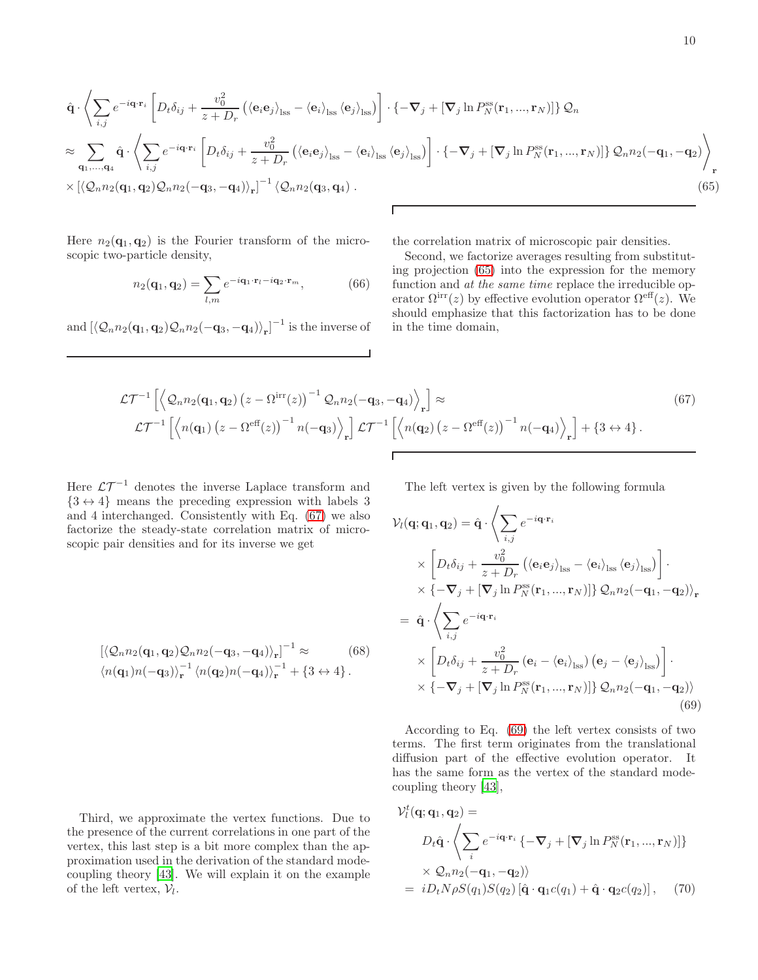<span id="page-9-0"></span>
$$
\hat{\mathbf{q}} \cdot \left\langle \sum_{i,j} e^{-i\mathbf{q} \cdot \mathbf{r}_{i}} \left[ D_{t} \delta_{ij} + \frac{v_{0}^{2}}{z+D_{r}} \left( \langle \mathbf{e}_{i} \mathbf{e}_{j} \rangle_{\text{iss}} - \langle \mathbf{e}_{i} \rangle_{\text{iss}} \langle \mathbf{e}_{j} \rangle_{\text{iss}} \right) \right] \cdot \left\{ -\nabla_{j} + \left[ \nabla_{j} \ln P_{N}^{\text{ss}}(\mathbf{r}_{1}, ..., \mathbf{r}_{N}) \right] \right\} \mathcal{Q}_{n}
$$
\n
$$
\approx \sum_{\mathbf{q}_{1},...,\mathbf{q}_{4}} \hat{\mathbf{q}} \cdot \left\langle \sum_{i,j} e^{-i\mathbf{q} \cdot \mathbf{r}_{i}} \left[ D_{t} \delta_{ij} + \frac{v_{0}^{2}}{z+D_{r}} \left( \langle \mathbf{e}_{i} \mathbf{e}_{j} \rangle_{\text{iss}} - \langle \mathbf{e}_{i} \rangle_{\text{iss}} \langle \mathbf{e}_{j} \rangle_{\text{iss}} \right) \right] \cdot \left\{ -\nabla_{j} + \left[ \nabla_{j} \ln P_{N}^{\text{ss}}(\mathbf{r}_{1}, ..., \mathbf{r}_{N}) \right] \right\} \mathcal{Q}_{n} n_{2}(-\mathbf{q}_{1}, -\mathbf{q}_{2}) \right\rangle_{\mathbf{r}}
$$
\n
$$
\times \left[ \langle \mathcal{Q}_{n} n_{2}(\mathbf{q}_{1}, \mathbf{q}_{2}) \mathcal{Q}_{n} n_{2}(-\mathbf{q}_{3}, -\mathbf{q}_{4}) \rangle_{\mathbf{r}} \right]^{-1} \langle \mathcal{Q}_{n} n_{2}(\mathbf{q}_{3}, \mathbf{q}_{4}) . \tag{65}
$$

Here  $n_2(\mathbf{q}_1, \mathbf{q}_2)$  is the Fourier transform of the microscopic two-particle density,

$$
n_2(\mathbf{q}_1, \mathbf{q}_2) = \sum_{l,m} e^{-i\mathbf{q}_1 \cdot \mathbf{r}_l - i\mathbf{q}_2 \cdot \mathbf{r}_m}, \tag{66}
$$

and  $\left[ \langle \mathcal{Q}_n n_2(q_1, \mathbf{q}_2) \mathcal{Q}_n n_2(-\mathbf{q}_3, -\mathbf{q}_4) \rangle_{\mathbf{r}} \right]^{-1}$  is the inverse of

the correlation matrix of microscopic pair densities.

Second, we factorize averages resulting from substituting projection [\(65\)](#page-9-0) into the expression for the memory function and at the same time replace the irreducible operator  $\Omega^{\text{irr}}(z)$  by effective evolution operator  $\Omega^{\text{eff}}(z)$ . We should emphasize that this factorization has to be done in the time domain,

<span id="page-9-1"></span>
$$
\mathcal{LT}^{-1}\left[\left\langle \mathcal{Q}_n n_2(\mathbf{q}_1, \mathbf{q}_2) \left(z - \Omega^{\text{irr}}(z)\right)^{-1} \mathcal{Q}_n n_2(-\mathbf{q}_3, -\mathbf{q}_4) \right\rangle_r\right] \approx
$$
\n
$$
\mathcal{LT}^{-1}\left[\left\langle n(\mathbf{q}_1) \left(z - \Omega^{\text{eff}}(z)\right)^{-1} n(-\mathbf{q}_3) \right\rangle_r\right] \mathcal{LT}^{-1}\left[\left\langle n(\mathbf{q}_2) \left(z - \Omega^{\text{eff}}(z)\right)^{-1} n(-\mathbf{q}_4) \right\rangle_r\right] + \left\{3 \leftrightarrow 4\right\}.
$$
\n(67)

 $\overline{t}$ 

Here  $\mathcal{L} \mathcal{T}^{-1}$  denotes the inverse Laplace transform and  ${3 \leftrightarrow 4}$  means the preceding expression with labels 3 and 4 interchanged. Consistently with Eq. [\(67\)](#page-9-1) we also factorize the steady-state correlation matrix of microscopic pair densities and for its inverse we get

$$
\left[ \langle \mathcal{Q}_n n_2(\mathbf{q}_1, \mathbf{q}_2) \mathcal{Q}_n n_2(-\mathbf{q}_3, -\mathbf{q}_4) \rangle_{\mathbf{r}} \right]^{-1} \approx \qquad (68)
$$
  

$$
\langle n(\mathbf{q}_1) n(-\mathbf{q}_3) \rangle_{\mathbf{r}}^{-1} \langle n(\mathbf{q}_2) n(-\mathbf{q}_4) \rangle_{\mathbf{r}}^{-1} + \{3 \leftrightarrow 4\}.
$$

Third, we approximate the vertex functions. Due to the presence of the current correlations in one part of the vertex, this last step is a bit more complex than the approximation used in the derivation of the standard modecoupling theory [\[43\]](#page-13-10). We will explain it on the example of the left vertex,  $V_l$ .

The left vertex is given by the following formula

<span id="page-9-2"></span>
$$
\mathcal{V}_{l}(\mathbf{q};\mathbf{q}_{1},\mathbf{q}_{2}) = \hat{\mathbf{q}} \cdot \left\langle \sum_{i,j} e^{-i\mathbf{q}\cdot\mathbf{r}_{i}} \right\rangle
$$
  
\n
$$
\times \left[ D_{t}\delta_{ij} + \frac{v_{0}^{2}}{z+D_{r}} \left\langle \left\langle \mathbf{e}_{i}\mathbf{e}_{j} \right\rangle_{\text{lss}} - \left\langle \mathbf{e}_{i} \right\rangle_{\text{lss}} \left\langle \mathbf{e}_{j} \right\rangle_{\text{lss}} \right) \right] \cdot
$$
  
\n
$$
\times \left\{ -\nabla_{j} + \left[ \nabla_{j} \ln P_{N}^{\text{ss}}(\mathbf{r}_{1},...,\mathbf{r}_{N}) \right] \right\} \mathcal{Q}_{n} n_{2}(-\mathbf{q}_{1},-\mathbf{q}_{2}) \right\rangle_{\mathbf{r}}
$$
  
\n
$$
= \hat{\mathbf{q}} \cdot \left\langle \sum_{i,j} e^{-i\mathbf{q}\cdot\mathbf{r}_{i}} \right\rangle
$$
  
\n
$$
\times \left[ D_{t}\delta_{ij} + \frac{v_{0}^{2}}{z+D_{r}} (\mathbf{e}_{i} - \left\langle \mathbf{e}_{i} \right\rangle_{\text{lss}}) (\mathbf{e}_{j} - \left\langle \mathbf{e}_{j} \right\rangle_{\text{lss}}) \right] \cdot
$$
  
\n
$$
\times \left\{ -\nabla_{j} + \left[ \nabla_{j} \ln P_{N}^{\text{ss}}(\mathbf{r}_{1},...,\mathbf{r}_{N}) \right] \right\} \mathcal{Q}_{n} n_{2}(-\mathbf{q}_{1},-\mathbf{q}_{2}) \rangle
$$
  
\n(69)

According to Eq. [\(69\)](#page-9-2) the left vertex consists of two terms. The first term originates from the translational diffusion part of the effective evolution operator. It has the same form as the vertex of the standard modecoupling theory [\[43\]](#page-13-10),

<span id="page-9-3"></span>
$$
\mathcal{V}_l^t(\mathbf{q}; \mathbf{q}_1, \mathbf{q}_2) =
$$
\n
$$
D_t \hat{\mathbf{q}} \cdot \left\langle \sum_i e^{-i\mathbf{q} \cdot \mathbf{r}_i} \left\{ -\nabla_j + [\nabla_j \ln P_N^{\text{ss}}(\mathbf{r}_1, ..., \mathbf{r}_N)] \right\} \right\rangle
$$
\n
$$
\times \mathcal{Q}_n n_2(-\mathbf{q}_1, -\mathbf{q}_2) \rangle
$$
\n
$$
= i D_t N \rho S(q_1) S(q_2) [\hat{\mathbf{q}} \cdot \mathbf{q}_1 c(q_1) + \hat{\mathbf{q}} \cdot \mathbf{q}_2 c(q_2)], \quad (70)
$$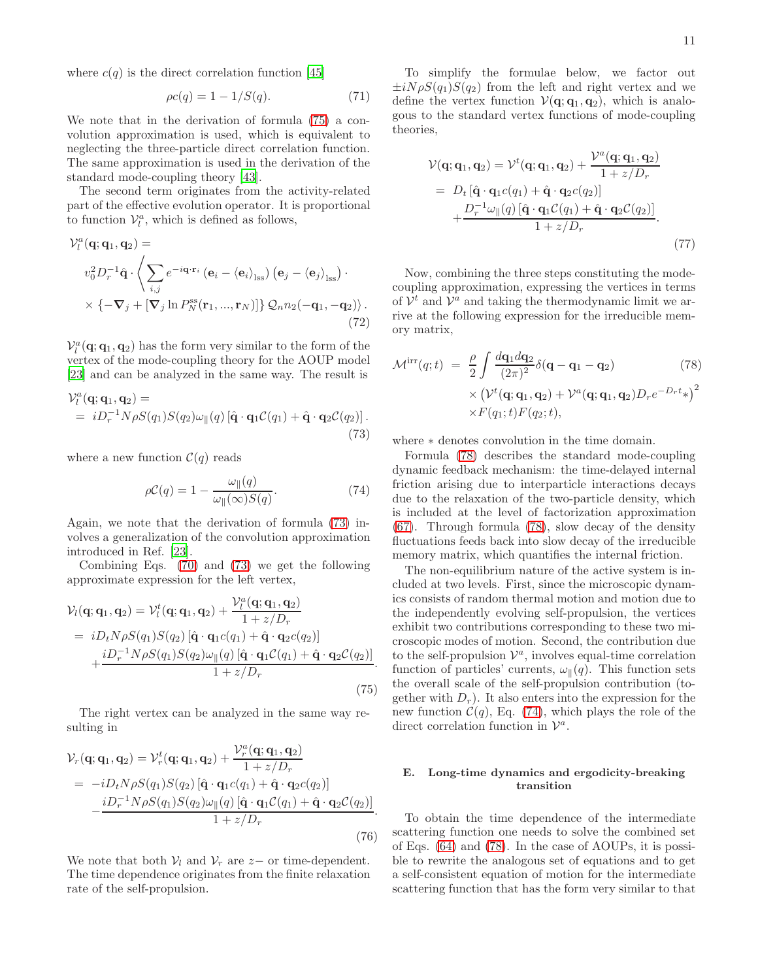where  $c(q)$  is the direct correlation function [\[45](#page-13-12)]

$$
\rho c(q) = 1 - 1/S(q). \tag{71}
$$

We note that in the derivation of formula [\(75\)](#page-10-0) a convolution approximation is used, which is equivalent to neglecting the three-particle direct correlation function. The same approximation is used in the derivation of the standard mode-coupling theory [\[43](#page-13-10)].

The second term originates from the activity-related part of the effective evolution operator. It is proportional to function  $V_l^a$ , which is defined as follows,

$$
\mathcal{V}_{l}^{a}(\mathbf{q};\mathbf{q}_{1},\mathbf{q}_{2}) =
$$

$$
v_{0}^{2}D_{r}^{-1}\hat{\mathbf{q}} \cdot \left\langle \sum_{i,j} e^{-i\mathbf{q}\cdot\mathbf{r}_{i}} \left(\mathbf{e}_{i} - \left\langle \mathbf{e}_{i} \right\rangle_{\text{lss}}\right) \left(\mathbf{e}_{j} - \left\langle \mathbf{e}_{j} \right\rangle_{\text{lss}}\right) \cdot \times \left\{-\nabla_{j} + \left[\nabla_{j}\ln P_{N}^{\text{ss}}(\mathbf{r}_{1},...,\mathbf{r}_{N})\right]\right\} \mathcal{Q}_{n}n_{2}(-\mathbf{q}_{1},-\mathbf{q}_{2})\right\rangle.
$$
\n(72)

 $\mathcal{V}_l^a(\mathbf{q};\mathbf{q}_1,\mathbf{q}_2)$  has the form very similar to the form of the vertex of the mode-coupling theory for the AOUP model [\[23\]](#page-12-19) and can be analyzed in the same way. The result is

<span id="page-10-1"></span>
$$
\mathcal{V}_l^a(\mathbf{q}; \mathbf{q}_1, \mathbf{q}_2) =
$$
  
=  $i D_r^{-1} N \rho S(q_1) S(q_2) \omega_{\parallel}(q) [\hat{\mathbf{q}} \cdot \mathbf{q}_1 \mathcal{C}(q_1) + \hat{\mathbf{q}} \cdot \mathbf{q}_2 \mathcal{C}(q_2)].$  (73)

where a new function  $\mathcal{C}(q)$  reads

<span id="page-10-3"></span>
$$
\rho C(q) = 1 - \frac{\omega_{\parallel}(q)}{\omega_{\parallel}(\infty)S(q)}.
$$
\n(74)

Again, we note that the derivation of formula [\(73\)](#page-10-1) involves a generalization of the convolution approximation introduced in Ref. [\[23](#page-12-19)].

Combining Eqs. [\(70\)](#page-9-3) and [\(73\)](#page-10-1) we get the following approximate expression for the left vertex,

<span id="page-10-0"></span>
$$
\mathcal{V}_l(\mathbf{q}; \mathbf{q}_1, \mathbf{q}_2) = \mathcal{V}_l^t(\mathbf{q}; \mathbf{q}_1, \mathbf{q}_2) + \frac{\mathcal{V}_l^a(\mathbf{q}; \mathbf{q}_1, \mathbf{q}_2)}{1 + z/D_r}
$$
  
=  $iD_t N \rho S(q_1) S(q_2) [\hat{\mathbf{q}} \cdot \mathbf{q}_1 c(q_1) + \hat{\mathbf{q}} \cdot \mathbf{q}_2 c(q_2)]$   
+  $\frac{iD_r^{-1} N \rho S(q_1) S(q_2) \omega_{\parallel}(q) [\hat{\mathbf{q}} \cdot \mathbf{q}_1 c(q_1) + \hat{\mathbf{q}} \cdot \mathbf{q}_2 c(q_2)]}{1 + z/D_r}$  (75)

The right vertex can be analyzed in the same way resulting in

$$
\mathcal{V}_r(\mathbf{q}; \mathbf{q}_1, \mathbf{q}_2) = \mathcal{V}_r^t(\mathbf{q}; \mathbf{q}_1, \mathbf{q}_2) + \frac{\mathcal{V}_r^a(\mathbf{q}; \mathbf{q}_1, \mathbf{q}_2)}{1 + z/D_r}
$$
  
=  $-iD_t N \rho S(q_1) S(q_2) [\hat{\mathbf{q}} \cdot \mathbf{q}_1 c(q_1) + \hat{\mathbf{q}} \cdot \mathbf{q}_2 c(q_2)] - \frac{iD_r^{-1} N \rho S(q_1) S(q_2) \omega_{\parallel}(q) [\hat{\mathbf{q}} \cdot \mathbf{q}_1 c(q_1) + \hat{\mathbf{q}} \cdot \mathbf{q}_2 c(q_2)]}{1 + z/D_r}.$  (76)

We note that both  $V_l$  and  $V_r$  are  $z-$  or time-dependent. The time dependence originates from the finite relaxation rate of the self-propulsion.

To simplify the formulae below, we factor out  $\pm iN\rho S(q_1)S(q_2)$  from the left and right vertex and we define the vertex function  $V(q; q_1, q_2)$ , which is analogous to the standard vertex functions of mode-coupling theories,

$$
\mathcal{V}(\mathbf{q}; \mathbf{q}_1, \mathbf{q}_2) = \mathcal{V}^t(\mathbf{q}; \mathbf{q}_1, \mathbf{q}_2) + \frac{\mathcal{V}^a(\mathbf{q}; \mathbf{q}_1, \mathbf{q}_2)}{1 + z/D_r}
$$
  
=  $D_t [\hat{\mathbf{q}} \cdot \mathbf{q}_1 c(q_1) + \hat{\mathbf{q}} \cdot \mathbf{q}_2 c(q_2)] + \frac{D_r^{-1} \omega_{\parallel}(q) [\hat{\mathbf{q}} \cdot \mathbf{q}_1 C(q_1) + \hat{\mathbf{q}} \cdot \mathbf{q}_2 C(q_2)]}{1 + z/D_r}.$  (77)

Now, combining the three steps constituting the modecoupling approximation, expressing the vertices in terms of  $\mathcal{V}^t$  and  $\mathcal{V}^a$  and taking the thermodynamic limit we arrive at the following expression for the irreducible memory matrix,

<span id="page-10-2"></span>
$$
\mathcal{M}^{\text{irr}}(q;t) = \frac{\rho}{2} \int \frac{d\mathbf{q}_1 d\mathbf{q}_2}{(2\pi)^2} \delta(\mathbf{q} - \mathbf{q}_1 - \mathbf{q}_2)
$$
(78)  
 
$$
\times \left( \mathcal{V}^t(\mathbf{q}; \mathbf{q}_1, \mathbf{q}_2) + \mathcal{V}^a(\mathbf{q}; \mathbf{q}_1, \mathbf{q}_2) D_r e^{-D_r t} \right)^2
$$
  
 
$$
\times F(q_1; t) F(q_2; t),
$$

where ∗ denotes convolution in the time domain.

Formula [\(78\)](#page-10-2) describes the standard mode-coupling dynamic feedback mechanism: the time-delayed internal friction arising due to interparticle interactions decays due to the relaxation of the two-particle density, which is included at the level of factorization approximation [\(67\)](#page-9-1). Through formula [\(78\)](#page-10-2), slow decay of the density fluctuations feeds back into slow decay of the irreducible memory matrix, which quantifies the internal friction.

The non-equilibrium nature of the active system is included at two levels. First, since the microscopic dynamics consists of random thermal motion and motion due to the independently evolving self-propulsion, the vertices exhibit two contributions corresponding to these two microscopic modes of motion. Second, the contribution due to the self-propulsion  $\mathcal{V}^a$ , involves equal-time correlation function of particles' currents,  $\omega_{\parallel}(q)$ . This function sets the overall scale of the self-propulsion contribution (together with  $D<sub>r</sub>$ ). It also enters into the expression for the new function  $C(q)$ , Eq. [\(74\)](#page-10-3), which plays the role of the direct correlation function in  $\mathcal{V}^a$ .

# E. Long-time dynamics and ergodicity-breaking transition

To obtain the time dependence of the intermediate scattering function one needs to solve the combined set of Eqs. [\(64\)](#page-8-3) and [\(78\)](#page-10-2). In the case of AOUPs, it is possible to rewrite the analogous set of equations and to get a self-consistent equation of motion for the intermediate scattering function that has the form very similar to that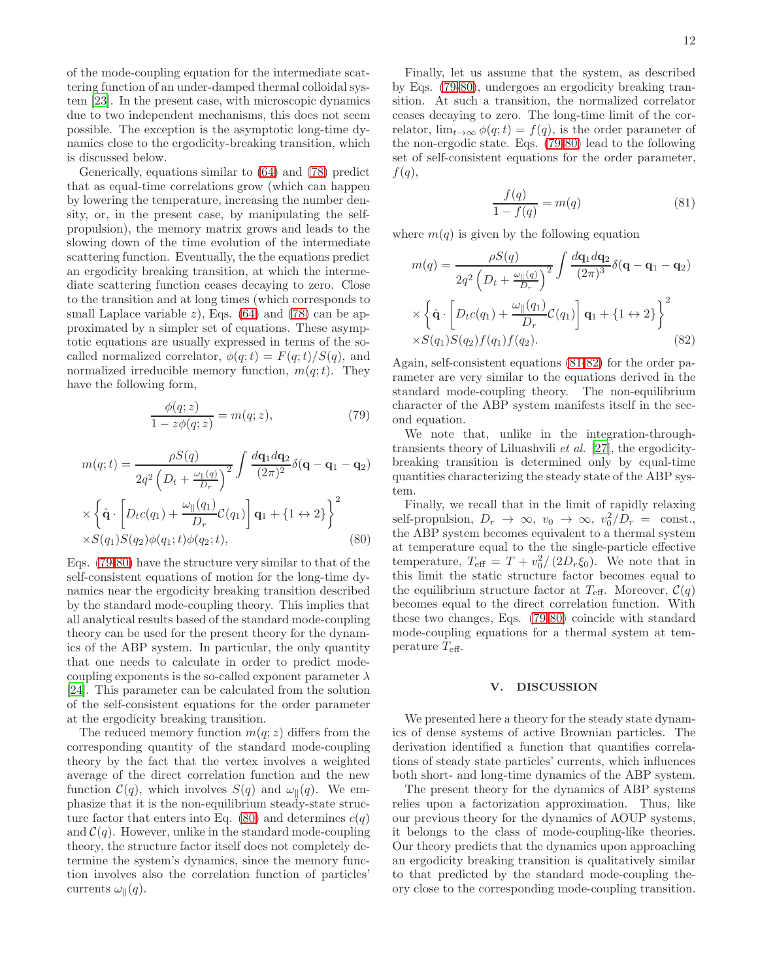of the mode-coupling equation for the intermediate scattering function of an under-damped thermal colloidal system [\[23](#page-12-19)]. In the present case, with microscopic dynamics due to two independent mechanisms, this does not seem possible. The exception is the asymptotic long-time dynamics close to the ergodicity-breaking transition, which is discussed below.

Generically, equations similar to [\(64\)](#page-8-3) and [\(78\)](#page-10-2) predict that as equal-time correlations grow (which can happen by lowering the temperature, increasing the number density, or, in the present case, by manipulating the selfpropulsion), the memory matrix grows and leads to the slowing down of the time evolution of the intermediate scattering function. Eventually, the the equations predict an ergodicity breaking transition, at which the intermediate scattering function ceases decaying to zero. Close to the transition and at long times (which corresponds to small Laplace variable  $z$ ), Eqs. [\(64\)](#page-8-3) and [\(78\)](#page-10-2) can be approximated by a simpler set of equations. These asymptotic equations are usually expressed in terms of the socalled normalized correlator,  $\phi(q;t) = F(q;t)/S(q)$ , and normalized irreducible memory function,  $m(q; t)$ . They have the following form,

<span id="page-11-1"></span>
$$
\frac{\phi(q;z)}{1 - z\phi(q;z)} = m(q;z),\tag{79}
$$

<span id="page-11-2"></span>
$$
m(q;t) = \frac{\rho S(q)}{2q^2 \left(D_t + \frac{\omega_{\parallel}(q)}{D_r}\right)^2} \int \frac{d\mathbf{q}_1 d\mathbf{q}_2}{(2\pi)^2} \delta(\mathbf{q} - \mathbf{q}_1 - \mathbf{q}_2)
$$

$$
\times \left\{\hat{\mathbf{q}} \cdot \left[D_t c(q_1) + \frac{\omega_{\parallel}(q_1)}{D_r} C(q_1)\right] \mathbf{q}_1 + \{1 \leftrightarrow 2\}\right\}^2
$$

$$
\times S(q_1) S(q_2) \phi(q_1; t) \phi(q_2; t), \qquad (80)
$$

Eqs. [\(79-](#page-11-1)[80\)](#page-11-2) have the structure very similar to that of the self-consistent equations of motion for the long-time dynamics near the ergodicity breaking transition described by the standard mode-coupling theory. This implies that all analytical results based of the standard mode-coupling theory can be used for the present theory for the dynamics of the ABP system. In particular, the only quantity that one needs to calculate in order to predict modecoupling exponents is the so-called exponent parameter  $\lambda$ [\[24\]](#page-12-20). This parameter can be calculated from the solution of the self-consistent equations for the order parameter at the ergodicity breaking transition.

The reduced memory function  $m(q; z)$  differs from the corresponding quantity of the standard mode-coupling theory by the fact that the vertex involves a weighted average of the direct correlation function and the new function  $\mathcal{C}(q)$ , which involves  $S(q)$  and  $\omega_{\parallel}(q)$ . We emphasize that it is the non-equilibrium steady-state struc-ture factor that enters into Eq. [\(80\)](#page-11-2) and determines  $c(q)$ and  $\mathcal{C}(q)$ . However, unlike in the standard mode-coupling theory, the structure factor itself does not completely determine the system's dynamics, since the memory function involves also the correlation function of particles' currents  $\omega_{\parallel}(q)$ .

Finally, let us assume that the system, as described by Eqs. [\(79-](#page-11-1)[80\)](#page-11-2), undergoes an ergodicity breaking transition. At such a transition, the normalized correlator ceases decaying to zero. The long-time limit of the correlator,  $\lim_{t\to\infty}\phi(q;t) = f(q)$ , is the order parameter of the non-ergodic state. Eqs. [\(79](#page-11-1)[-80\)](#page-11-2) lead to the following set of self-consistent equations for the order parameter,  $f(q)$ ,

<span id="page-11-3"></span>
$$
\frac{f(q)}{1 - f(q)} = m(q) \tag{81}
$$

where  $m(q)$  is given by the following equation

<span id="page-11-4"></span>
$$
m(q) = \frac{\rho S(q)}{2q^2 \left(D_t + \frac{\omega_{\parallel}(q)}{D_r}\right)^2} \int \frac{d\mathbf{q}_1 d\mathbf{q}_2}{(2\pi)^3} \delta(\mathbf{q} - \mathbf{q}_1 - \mathbf{q}_2)
$$
  
 
$$
\times \left\{\hat{\mathbf{q}} \cdot \left[D_t c(q_1) + \frac{\omega_{\parallel}(q_1)}{D_r} C(q_1)\right] \mathbf{q}_1 + \left\{1 \leftrightarrow 2\right\}\right\}^2
$$
  
 
$$
\times S(q_1) S(q_2) f(q_1) f(q_2).
$$
 (82)

Again, self-consistent equations [\(81](#page-11-3)[-82\)](#page-11-4) for the order parameter are very similar to the equations derived in the standard mode-coupling theory. The non-equilibrium character of the ABP system manifests itself in the second equation.

We note that, unlike in the integration-throughtransients theory of Liluashvili et al. [\[27\]](#page-12-23), the ergodicitybreaking transition is determined only by equal-time quantities characterizing the steady state of the ABP system.

Finally, we recall that in the limit of rapidly relaxing self-propulsion,  $D_r \to \infty$ ,  $v_0 \to \infty$ ,  $v_0^2/D_r = \text{const.}$ , the ABP system becomes equivalent to a thermal system at temperature equal to the the single-particle effective temperature,  $T_{\text{eff}} = T + v_0^2 / (2D_r \xi_0)$ . We note that in this limit the static structure factor becomes equal to the equilibrium structure factor at  $T_{\text{eff}}$ . Moreover,  $\mathcal{C}(q)$ becomes equal to the direct correlation function. With these two changes, Eqs. [\(79](#page-11-1)[-80\)](#page-11-2) coincide with standard mode-coupling equations for a thermal system at temperature  $T_{\text{eff}}$ .

#### <span id="page-11-0"></span>V. DISCUSSION

We presented here a theory for the steady state dynamics of dense systems of active Brownian particles. The derivation identified a function that quantifies correlations of steady state particles' currents, which influences both short- and long-time dynamics of the ABP system.

The present theory for the dynamics of ABP systems relies upon a factorization approximation. Thus, like our previous theory for the dynamics of AOUP systems, it belongs to the class of mode-coupling-like theories. Our theory predicts that the dynamics upon approaching an ergodicity breaking transition is qualitatively similar to that predicted by the standard mode-coupling theory close to the corresponding mode-coupling transition.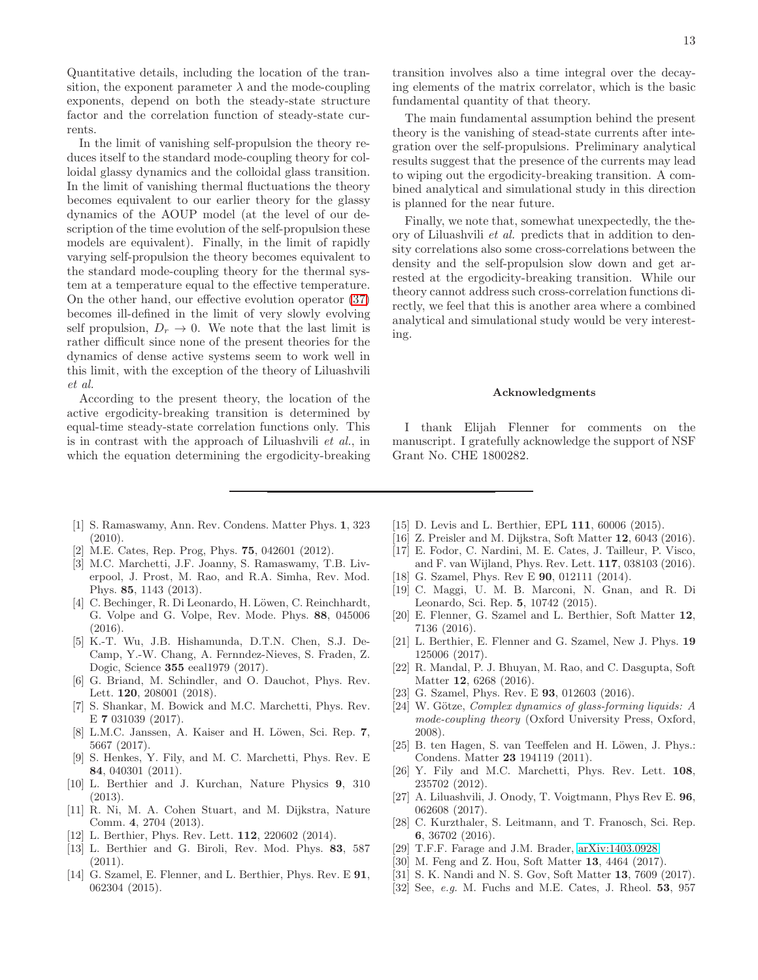Quantitative details, including the location of the transition, the exponent parameter  $\lambda$  and the mode-coupling exponents, depend on both the steady-state structure factor and the correlation function of steady-state currents.

In the limit of vanishing self-propulsion the theory reduces itself to the standard mode-coupling theory for colloidal glassy dynamics and the colloidal glass transition. In the limit of vanishing thermal fluctuations the theory becomes equivalent to our earlier theory for the glassy dynamics of the AOUP model (at the level of our description of the time evolution of the self-propulsion these models are equivalent). Finally, in the limit of rapidly varying self-propulsion the theory becomes equivalent to the standard mode-coupling theory for the thermal system at a temperature equal to the effective temperature. On the other hand, our effective evolution operator [\(37\)](#page-5-3) becomes ill-defined in the limit of very slowly evolving self propulsion,  $D_r \rightarrow 0$ . We note that the last limit is rather difficult since none of the present theories for the dynamics of dense active systems seem to work well in this limit, with the exception of the theory of Liluashvili et al.

According to the present theory, the location of the active ergodicity-breaking transition is determined by equal-time steady-state correlation functions only. This is in contrast with the approach of Liluashvili et al., in which the equation determining the ergodicity-breaking

transition involves also a time integral over the decaying elements of the matrix correlator, which is the basic fundamental quantity of that theory.

The main fundamental assumption behind the present theory is the vanishing of stead-state currents after integration over the self-propulsions. Preliminary analytical results suggest that the presence of the currents may lead to wiping out the ergodicity-breaking transition. A combined analytical and simulational study in this direction is planned for the near future.

Finally, we note that, somewhat unexpectedly, the theory of Liluashvili et al. predicts that in addition to density correlations also some cross-correlations between the density and the self-propulsion slow down and get arrested at the ergodicity-breaking transition. While our theory cannot address such cross-correlation functions directly, we feel that this is another area where a combined analytical and simulational study would be very interesting.

#### Acknowledgments

I thank Elijah Flenner for comments on the manuscript. I gratefully acknowledge the support of NSF Grant No. CHE 1800282.

- <span id="page-12-0"></span>[1] S. Ramaswamy, Ann. Rev. Condens. Matter Phys. 1, 323 (2010).
- [2] M.E. Cates, Rep. Prog, Phys. 75, 042601 (2012).
- [3] M.C. Marchetti, J.F. Joanny, S. Ramaswamy, T.B. Liverpool, J. Prost, M. Rao, and R.A. Simha, Rev. Mod. Phys. 85, 1143 (2013).
- <span id="page-12-1"></span>[4] C. Bechinger, R. Di Leonardo, H. Löwen, C. Reinchhardt, G. Volpe and G. Volpe, Rev. Mode. Phys. 88, 045006 (2016).
- <span id="page-12-2"></span>[5] K.-T. Wu, J.B. Hishamunda, D.T.N. Chen, S.J. De-Camp, Y.-W. Chang, A. Fernndez-Nieves, S. Fraden, Z. Dogic, Science 355 eeal1979 (2017).
- <span id="page-12-3"></span>[6] G. Briand, M. Schindler, and O. Dauchot, Phys. Rev. Lett. 120, 208001 (2018).
- <span id="page-12-4"></span>[7] S. Shankar, M. Bowick and M.C. Marchetti, Phys. Rev. E 7 031039 (2017).
- <span id="page-12-5"></span>[8] L.M.C. Janssen, A. Kaiser and H. Löwen, Sci. Rep. 7, 5667 (2017).
- <span id="page-12-6"></span>[9] S. Henkes, Y. Fily, and M. C. Marchetti, Phys. Rev. E 84, 040301 (2011).
- <span id="page-12-28"></span>[10] L. Berthier and J. Kurchan, Nature Physics 9, 310 (2013).
- <span id="page-12-16"></span>[11] R. Ni, M. A. Cohen Stuart, and M. Dijkstra, Nature Comm. 4, 2704 (2013).
- <span id="page-12-7"></span>[12] L. Berthier, Phys. Rev. Lett. **112**, 220602 (2014).
- <span id="page-12-8"></span>[13] L. Berthier and G. Biroli, Rev. Mod. Phys. 83, 587 (2011).
- <span id="page-12-9"></span>[14] G. Szamel, E. Flenner, and L. Berthier, Phys. Rev. E **91**, 062304 (2015).
- <span id="page-12-10"></span>[15] D. Levis and L. Berthier, EPL 111, 60006 (2015).
- <span id="page-12-11"></span>[16] Z. Preisler and M. Dijkstra, Soft Matter 12, 6043 (2016).
- <span id="page-12-12"></span>[17] E. Fodor, C. Nardini, M. E. Cates, J. Tailleur, P. Visco, and F. van Wijland, Phys. Rev. Lett. 117, 038103 (2016).
- <span id="page-12-13"></span>[18] G. Szamel, Phys. Rev E **90**, 012111 (2014).
- <span id="page-12-14"></span>[19] C. Maggi, U. M. B. Marconi, N. Gnan, and R. Di Leonardo, Sci. Rep. 5, 10742 (2015).
- <span id="page-12-18"></span>[20] E. Flenner, G. Szamel and L. Berthier, Soft Matter 12, 7136 (2016).
- <span id="page-12-15"></span>[21] L. Berthier, E. Flenner and G. Szamel, New J. Phys. 19 125006 (2017).
- <span id="page-12-17"></span>[22] R. Mandal, P. J. Bhuyan, M. Rao, and C. Dasgupta, Soft Matter **12**, 6268 (2016).
- <span id="page-12-19"></span>[23] G. Szamel, Phys. Rev. E **93**, 012603 (2016).
- <span id="page-12-20"></span>[24] W. Götze, *Complex dynamics of glass-forming liquids: A mode-coupling theory* (Oxford University Press, Oxford, 2008).
- <span id="page-12-21"></span>[25] B. ten Hagen, S. van Teeffelen and H. Löwen, J. Phys.: Condens. Matter 23 194119 (2011).
- <span id="page-12-22"></span>[26] Y. Fily and M.C. Marchetti, Phys. Rev. Lett. 108, 235702 (2012).
- <span id="page-12-23"></span>[27] A. Liluashvili, J. Onody, T. Voigtmann, Phys Rev E. 96, 062608 (2017).
- <span id="page-12-24"></span>[28] C. Kurzthaler, S. Leitmann, and T. Franosch, Sci. Rep. 6, 36702 (2016).
- <span id="page-12-25"></span>[29] T.F.F. Farage and J.M. Brader, [arXiv:1403.0928.](http://arxiv.org/abs/1403.0928)
- <span id="page-12-26"></span>[30] M. Feng and Z. Hou, Soft Matter 13, 4464 (2017).
- <span id="page-12-27"></span>[31] S. K. Nandi and N. S. Gov, Soft Matter 13, 7609 (2017).
- <span id="page-12-29"></span>[32] See, *e.g.* M. Fuchs and M.E. Cates, J. Rheol. 53, 957